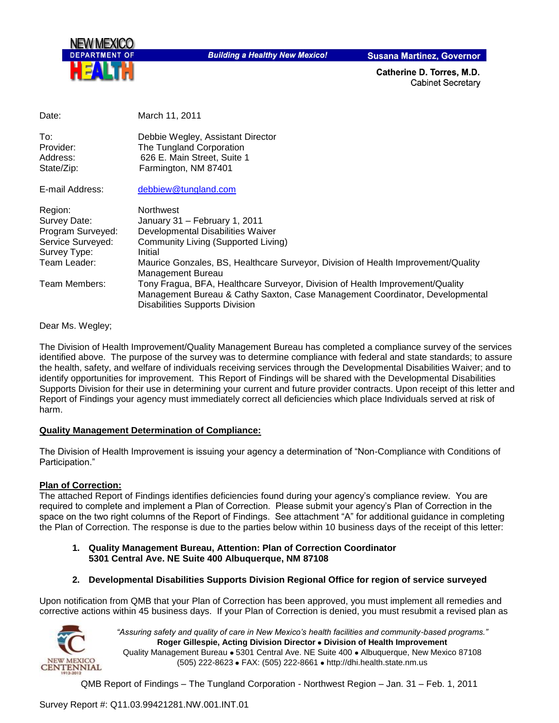

**Building a Healthy New Mexico!** 

**Susana Martinez, Governor** 

Catherine D. Torres, M.D. **Cabinet Secretary** 

| Date:                                                                                             | March 11, 2011                                                                                                                                                                                                                              |
|---------------------------------------------------------------------------------------------------|---------------------------------------------------------------------------------------------------------------------------------------------------------------------------------------------------------------------------------------------|
| To:<br>Provider:<br>Address:<br>State/Zip:                                                        | Debbie Wegley, Assistant Director<br>The Tungland Corporation<br>626 E. Main Street, Suite 1<br>Farmington, NM 87401                                                                                                                        |
| E-mail Address:                                                                                   | debbiew@tungland.com                                                                                                                                                                                                                        |
| Region:<br>Survey Date:<br>Program Surveyed:<br>Service Surveyed:<br>Survey Type:<br>Team Leader: | Northwest<br>January 31 - February 1, 2011<br>Developmental Disabilities Waiver<br>Community Living (Supported Living)<br>Initial<br>Maurice Gonzales, BS, Healthcare Surveyor, Division of Health Improvement/Quality<br>Management Bureau |
| Team Members:                                                                                     | Tony Fragua, BFA, Healthcare Surveyor, Division of Health Improvement/Quality<br>Management Bureau & Cathy Saxton, Case Management Coordinator, Developmental<br><b>Disabilities Supports Division</b>                                      |

Dear Ms. Wegley;

The Division of Health Improvement/Quality Management Bureau has completed a compliance survey of the services identified above. The purpose of the survey was to determine compliance with federal and state standards; to assure the health, safety, and welfare of individuals receiving services through the Developmental Disabilities Waiver; and to identify opportunities for improvement. This Report of Findings will be shared with the Developmental Disabilities Supports Division for their use in determining your current and future provider contracts. Upon receipt of this letter and Report of Findings your agency must immediately correct all deficiencies which place Individuals served at risk of harm.

#### **Quality Management Determination of Compliance:**

The Division of Health Improvement is issuing your agency a determination of "Non-Compliance with Conditions of Participation."

#### **Plan of Correction:**

The attached Report of Findings identifies deficiencies found during your agency"s compliance review. You are required to complete and implement a Plan of Correction. Please submit your agency"s Plan of Correction in the space on the two right columns of the Report of Findings. See attachment "A" for additional guidance in completing the Plan of Correction. The response is due to the parties below within 10 business days of the receipt of this letter:

- **1. Quality Management Bureau, Attention: Plan of Correction Coordinator 5301 Central Ave. NE Suite 400 Albuquerque, NM 87108**
- **2. Developmental Disabilities Supports Division Regional Office for region of service surveyed**

Upon notification from QMB that your Plan of Correction has been approved, you must implement all remedies and corrective actions within 45 business days. If your Plan of Correction is denied, you must resubmit a revised plan as



*"Assuring safety and quality of care in New Mexico's health facilities and community-based programs."* **Roger Gillespie, Acting Division Director Division of Health Improvement** Quality Management Bureau . 5301 Central Ave. NE Suite 400 . Albuquerque, New Mexico 87108 (505) 222-8623 • FAX: (505) 222-8661 • http://dhi.health.state.nm.us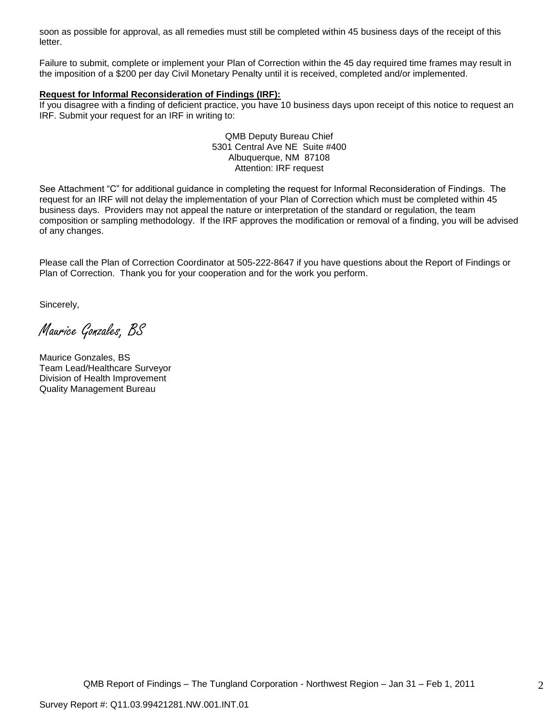soon as possible for approval, as all remedies must still be completed within 45 business days of the receipt of this letter.

Failure to submit, complete or implement your Plan of Correction within the 45 day required time frames may result in the imposition of a \$200 per day Civil Monetary Penalty until it is received, completed and/or implemented.

#### **Request for Informal Reconsideration of Findings (IRF):**

If you disagree with a finding of deficient practice, you have 10 business days upon receipt of this notice to request an IRF. Submit your request for an IRF in writing to:

> QMB Deputy Bureau Chief 5301 Central Ave NE Suite #400 Albuquerque, NM 87108 Attention: IRF request

See Attachment "C" for additional guidance in completing the request for Informal Reconsideration of Findings. The request for an IRF will not delay the implementation of your Plan of Correction which must be completed within 45 business days. Providers may not appeal the nature or interpretation of the standard or regulation, the team composition or sampling methodology. If the IRF approves the modification or removal of a finding, you will be advised of any changes.

Please call the Plan of Correction Coordinator at 505-222-8647 if you have questions about the Report of Findings or Plan of Correction. Thank you for your cooperation and for the work you perform.

Sincerely,

Maurice Gonzales, BS

Maurice Gonzales, BS Team Lead/Healthcare Surveyor Division of Health Improvement Quality Management Bureau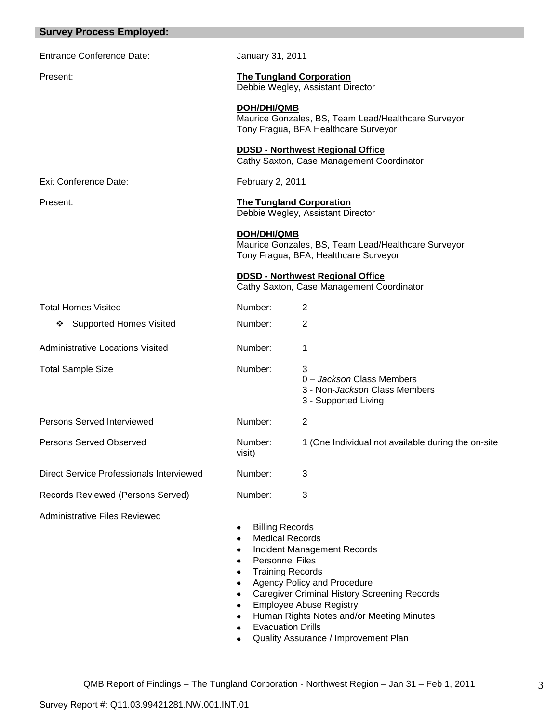| <b>Survey Process Employed:</b>                 |                                                                                                                                                                           |                                                                                                                                                                                                         |
|-------------------------------------------------|---------------------------------------------------------------------------------------------------------------------------------------------------------------------------|---------------------------------------------------------------------------------------------------------------------------------------------------------------------------------------------------------|
| <b>Entrance Conference Date:</b>                | January 31, 2011                                                                                                                                                          |                                                                                                                                                                                                         |
| Present:                                        | <b>The Tungland Corporation</b><br>Debbie Wegley, Assistant Director                                                                                                      |                                                                                                                                                                                                         |
|                                                 | <b>DOH/DHI/QMB</b><br>Maurice Gonzales, BS, Team Lead/Healthcare Surveyor<br>Tony Fragua, BFA Healthcare Surveyor                                                         |                                                                                                                                                                                                         |
|                                                 |                                                                                                                                                                           | <b>DDSD - Northwest Regional Office</b><br>Cathy Saxton, Case Management Coordinator                                                                                                                    |
| <b>Exit Conference Date:</b>                    | <b>February 2, 2011</b>                                                                                                                                                   |                                                                                                                                                                                                         |
| Present:                                        | <b>The Tungland Corporation</b>                                                                                                                                           | Debbie Wegley, Assistant Director                                                                                                                                                                       |
|                                                 | <b>DOH/DHI/QMB</b>                                                                                                                                                        | Maurice Gonzales, BS, Team Lead/Healthcare Surveyor<br>Tony Fragua, BFA, Healthcare Surveyor                                                                                                            |
|                                                 |                                                                                                                                                                           | <b>DDSD - Northwest Regional Office</b><br>Cathy Saxton, Case Management Coordinator                                                                                                                    |
| <b>Total Homes Visited</b>                      | Number:                                                                                                                                                                   | 2                                                                                                                                                                                                       |
| <b>Supported Homes Visited</b><br>❖             | Number:                                                                                                                                                                   | 2                                                                                                                                                                                                       |
| <b>Administrative Locations Visited</b>         | Number:                                                                                                                                                                   | 1                                                                                                                                                                                                       |
| <b>Total Sample Size</b>                        | Number:                                                                                                                                                                   | 3<br>0 - Jackson Class Members<br>3 - Non-Jackson Class Members<br>3 - Supported Living                                                                                                                 |
| <b>Persons Served Interviewed</b>               | Number:                                                                                                                                                                   | 2                                                                                                                                                                                                       |
| <b>Persons Served Observed</b>                  | Number:<br>visit)                                                                                                                                                         | 1 (One Individual not available during the on-site                                                                                                                                                      |
| <b>Direct Service Professionals Interviewed</b> | Number:                                                                                                                                                                   | 3                                                                                                                                                                                                       |
| Records Reviewed (Persons Served)               | Number:                                                                                                                                                                   | 3                                                                                                                                                                                                       |
| <b>Administrative Files Reviewed</b>            | <b>Billing Records</b><br>٠<br><b>Medical Records</b><br>٠<br>٠<br><b>Personnel Files</b><br>٠<br><b>Training Records</b><br>٠<br>٠<br>٠<br><b>Evacuation Drills</b><br>٠ | <b>Incident Management Records</b><br>Agency Policy and Procedure<br><b>Caregiver Criminal History Screening Records</b><br><b>Employee Abuse Registry</b><br>Human Rights Notes and/or Meeting Minutes |

Quality Assurance / Improvement Plan $\bullet$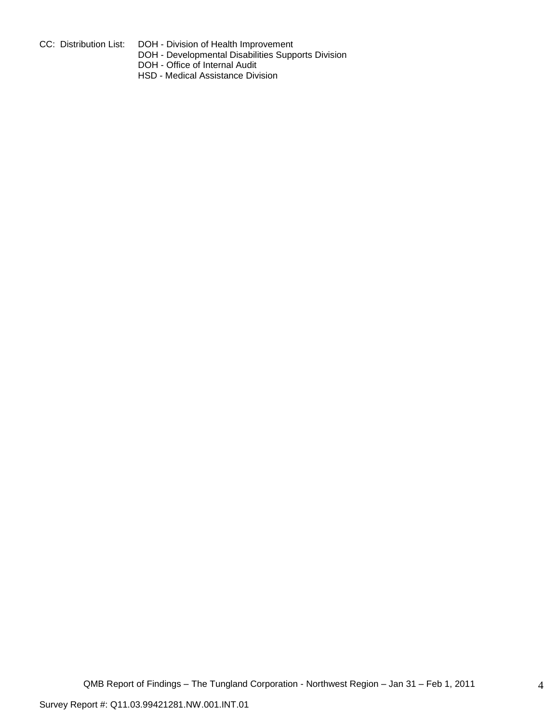- 
- CC: Distribution List: DOH Division of Health Improvement
	- DOH Developmental Disabilities Supports Division
	- DOH Office of Internal Audit
	- HSD Medical Assistance Division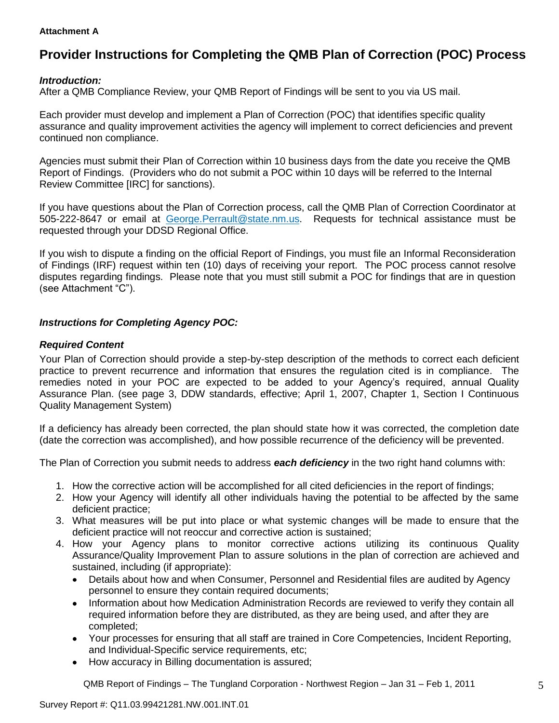#### **Attachment A**

# **Provider Instructions for Completing the QMB Plan of Correction (POC) Process**

# *Introduction:*

After a QMB Compliance Review, your QMB Report of Findings will be sent to you via US mail.

Each provider must develop and implement a Plan of Correction (POC) that identifies specific quality assurance and quality improvement activities the agency will implement to correct deficiencies and prevent continued non compliance.

Agencies must submit their Plan of Correction within 10 business days from the date you receive the QMB Report of Findings. (Providers who do not submit a POC within 10 days will be referred to the Internal Review Committee [IRC] for sanctions).

If you have questions about the Plan of Correction process, call the QMB Plan of Correction Coordinator at 505-222-8647 or email at George.Perrault@state.nm.us. Requests for technical assistance must be requested through your DDSD Regional Office.

If you wish to dispute a finding on the official Report of Findings, you must file an Informal Reconsideration of Findings (IRF) request within ten (10) days of receiving your report. The POC process cannot resolve disputes regarding findings. Please note that you must still submit a POC for findings that are in question (see Attachment "C").

# *Instructions for Completing Agency POC:*

## *Required Content*

Your Plan of Correction should provide a step-by-step description of the methods to correct each deficient practice to prevent recurrence and information that ensures the regulation cited is in compliance. The remedies noted in your POC are expected to be added to your Agency"s required, annual Quality Assurance Plan. (see page 3, DDW standards, effective; April 1, 2007, Chapter 1, Section I Continuous Quality Management System)

If a deficiency has already been corrected, the plan should state how it was corrected, the completion date (date the correction was accomplished), and how possible recurrence of the deficiency will be prevented.

The Plan of Correction you submit needs to address *each deficiency* in the two right hand columns with:

- 1. How the corrective action will be accomplished for all cited deficiencies in the report of findings;
- 2. How your Agency will identify all other individuals having the potential to be affected by the same deficient practice;
- 3. What measures will be put into place or what systemic changes will be made to ensure that the deficient practice will not reoccur and corrective action is sustained;
- 4. How your Agency plans to monitor corrective actions utilizing its continuous Quality Assurance/Quality Improvement Plan to assure solutions in the plan of correction are achieved and sustained, including (if appropriate):
	- Details about how and when Consumer, Personnel and Residential files are audited by Agency  $\bullet$ personnel to ensure they contain required documents;
	- Information about how Medication Administration Records are reviewed to verify they contain all  $\bullet$ required information before they are distributed, as they are being used, and after they are completed;
	- Your processes for ensuring that all staff are trained in Core Competencies, Incident Reporting, and Individual-Specific service requirements, etc;
	- How accuracy in Billing documentation is assured;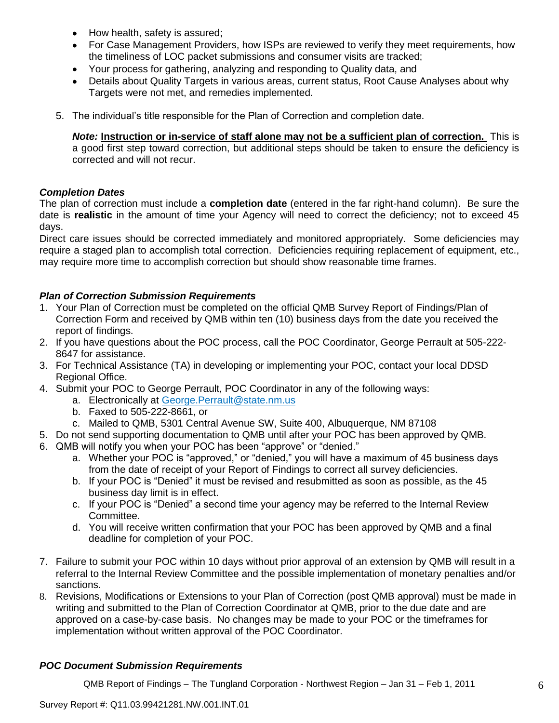- How health, safety is assured;  $\bullet$
- For Case Management Providers, how ISPs are reviewed to verify they meet requirements, how the timeliness of LOC packet submissions and consumer visits are tracked;
- Your process for gathering, analyzing and responding to Quality data, and
- Details about Quality Targets in various areas, current status, Root Cause Analyses about why Targets were not met, and remedies implemented.
- 5. The individual"s title responsible for the Plan of Correction and completion date.

*Note:* **Instruction or in-service of staff alone may not be a sufficient plan of correction.** This is a good first step toward correction, but additional steps should be taken to ensure the deficiency is corrected and will not recur.

## *Completion Dates*

The plan of correction must include a **completion date** (entered in the far right-hand column). Be sure the date is **realistic** in the amount of time your Agency will need to correct the deficiency; not to exceed 45 days.

Direct care issues should be corrected immediately and monitored appropriately. Some deficiencies may require a staged plan to accomplish total correction. Deficiencies requiring replacement of equipment, etc., may require more time to accomplish correction but should show reasonable time frames.

# *Plan of Correction Submission Requirements*

- 1. Your Plan of Correction must be completed on the official QMB Survey Report of Findings/Plan of Correction Form and received by QMB within ten (10) business days from the date you received the report of findings.
- 2. If you have questions about the POC process, call the POC Coordinator, George Perrault at 505-222- 8647 for assistance.
- 3. For Technical Assistance (TA) in developing or implementing your POC, contact your local DDSD Regional Office.
- 4. Submit your POC to George Perrault, POC Coordinator in any of the following ways:
	- a. Electronically at [George.Perrault@state.nm.us](mailto:George.Perrault@state.nm.us)
	- b. Faxed to 505-222-8661, or
	- c. Mailed to QMB, 5301 Central Avenue SW, Suite 400, Albuquerque, NM 87108
- 5. Do not send supporting documentation to QMB until after your POC has been approved by QMB.
- 6. QMB will notify you when your POC has been "approve" or "denied."
	- a. Whether your POC is "approved," or "denied," you will have a maximum of 45 business days from the date of receipt of your Report of Findings to correct all survey deficiencies.
	- b. If your POC is "Denied" it must be revised and resubmitted as soon as possible, as the 45 business day limit is in effect.
	- c. If your POC is "Denied" a second time your agency may be referred to the Internal Review Committee.
	- d. You will receive written confirmation that your POC has been approved by QMB and a final deadline for completion of your POC.
- 7. Failure to submit your POC within 10 days without prior approval of an extension by QMB will result in a referral to the Internal Review Committee and the possible implementation of monetary penalties and/or sanctions.
- 8. Revisions, Modifications or Extensions to your Plan of Correction (post QMB approval) must be made in writing and submitted to the Plan of Correction Coordinator at QMB, prior to the due date and are approved on a case-by-case basis. No changes may be made to your POC or the timeframes for implementation without written approval of the POC Coordinator.

# *POC Document Submission Requirements*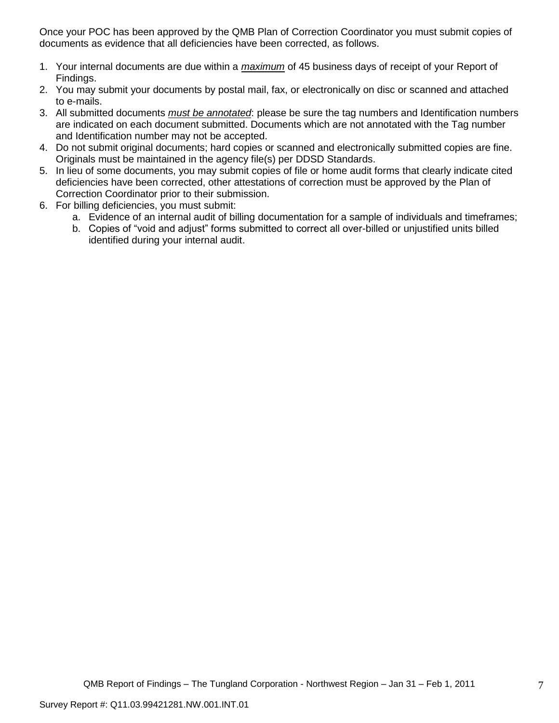Once your POC has been approved by the QMB Plan of Correction Coordinator you must submit copies of documents as evidence that all deficiencies have been corrected, as follows.

- 1. Your internal documents are due within a *maximum* of 45 business days of receipt of your Report of Findings.
- 2. You may submit your documents by postal mail, fax, or electronically on disc or scanned and attached to e-mails.
- 3. All submitted documents *must be annotated*: please be sure the tag numbers and Identification numbers are indicated on each document submitted. Documents which are not annotated with the Tag number and Identification number may not be accepted.
- 4. Do not submit original documents; hard copies or scanned and electronically submitted copies are fine. Originals must be maintained in the agency file(s) per DDSD Standards.
- 5. In lieu of some documents, you may submit copies of file or home audit forms that clearly indicate cited deficiencies have been corrected, other attestations of correction must be approved by the Plan of Correction Coordinator prior to their submission.
- 6. For billing deficiencies, you must submit:
	- a. Evidence of an internal audit of billing documentation for a sample of individuals and timeframes;
	- b. Copies of "void and adjust" forms submitted to correct all over-billed or unjustified units billed identified during your internal audit.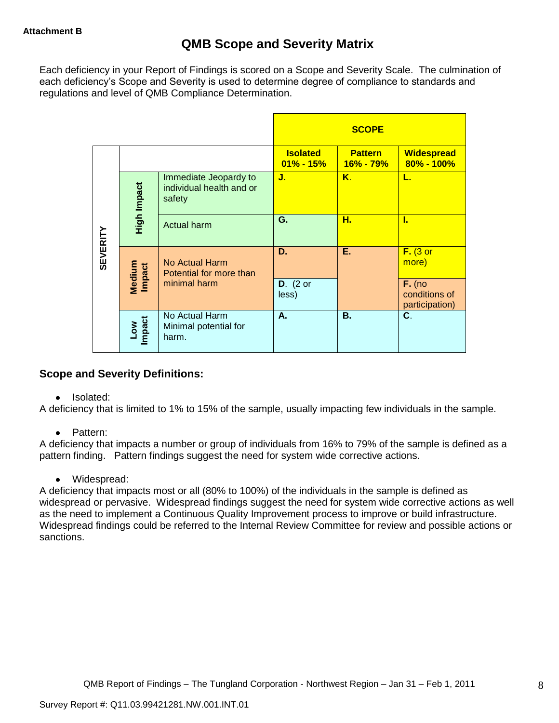Each deficiency in your Report of Findings is scored on a Scope and Severity Scale. The culmination of each deficiency"s Scope and Severity is used to determine degree of compliance to standards and regulations and level of QMB Compliance Determination.

|                 |                      |                                                             |                                 | <b>SCOPE</b>                |                                             |
|-----------------|----------------------|-------------------------------------------------------------|---------------------------------|-----------------------------|---------------------------------------------|
|                 |                      |                                                             | <b>Isolated</b><br>$01\%$ - 15% | <b>Pattern</b><br>16% - 79% | <b>Widespread</b><br>80% - 100%             |
|                 | High Impact          | Immediate Jeopardy to<br>individual health and or<br>safety | J.                              | Κ.                          | L.                                          |
|                 |                      | Actual harm                                                 | G.                              | н.                          | L                                           |
| <b>SEVERITY</b> | Medium<br>Impact     | No Actual Harm<br>Potential for more than                   | D.                              | Ε.                          | $F.$ (3 or<br>more)                         |
|                 |                      | minimal harm                                                | $D.$ (2 or<br>less)             |                             | $F.$ (no<br>conditions of<br>participation) |
|                 | <b>Impact</b><br>Low | No Actual Harm<br>Minimal potential for<br>harm.            | А.                              | <b>B.</b>                   | C.                                          |

# **Scope and Severity Definitions:**

• Isolated:

A deficiency that is limited to 1% to 15% of the sample, usually impacting few individuals in the sample.

• Pattern:

A deficiency that impacts a number or group of individuals from 16% to 79% of the sample is defined as a pattern finding. Pattern findings suggest the need for system wide corrective actions.

• Widespread:

A deficiency that impacts most or all (80% to 100%) of the individuals in the sample is defined as widespread or pervasive. Widespread findings suggest the need for system wide corrective actions as well as the need to implement a Continuous Quality Improvement process to improve or build infrastructure. Widespread findings could be referred to the Internal Review Committee for review and possible actions or sanctions.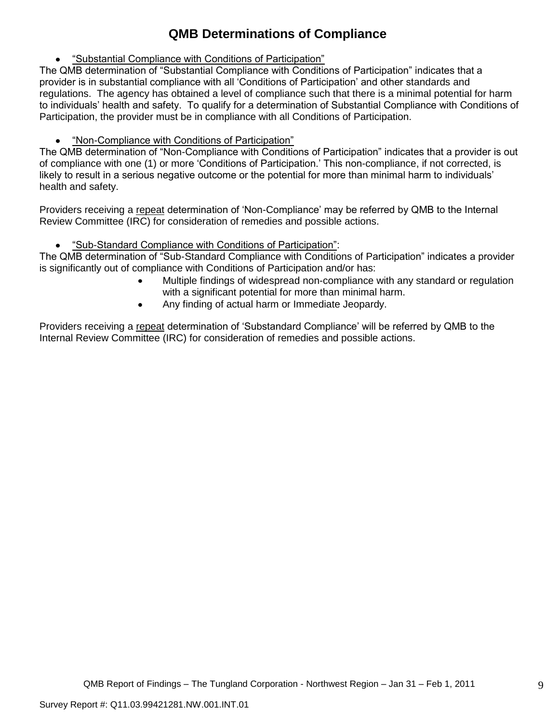# **QMB Determinations of Compliance**

"Substantial Compliance with Conditions of Participation"

The QMB determination of "Substantial Compliance with Conditions of Participation" indicates that a provider is in substantial compliance with all "Conditions of Participation" and other standards and regulations. The agency has obtained a level of compliance such that there is a minimal potential for harm to individuals" health and safety. To qualify for a determination of Substantial Compliance with Conditions of Participation, the provider must be in compliance with all Conditions of Participation.

"Non-Compliance with Conditions of Participation"

The QMB determination of "Non-Compliance with Conditions of Participation" indicates that a provider is out of compliance with one (1) or more "Conditions of Participation." This non-compliance, if not corrected, is likely to result in a serious negative outcome or the potential for more than minimal harm to individuals" health and safety.

Providers receiving a repeat determination of 'Non-Compliance' may be referred by QMB to the Internal Review Committee (IRC) for consideration of remedies and possible actions.

"Sub-Standard Compliance with Conditions of Participation":

The QMB determination of "Sub-Standard Compliance with Conditions of Participation" indicates a provider is significantly out of compliance with Conditions of Participation and/or has:

- Multiple findings of widespread non-compliance with any standard or regulation with a significant potential for more than minimal harm.
- Any finding of actual harm or Immediate Jeopardy.

Providers receiving a repeat determination of 'Substandard Compliance' will be referred by QMB to the Internal Review Committee (IRC) for consideration of remedies and possible actions.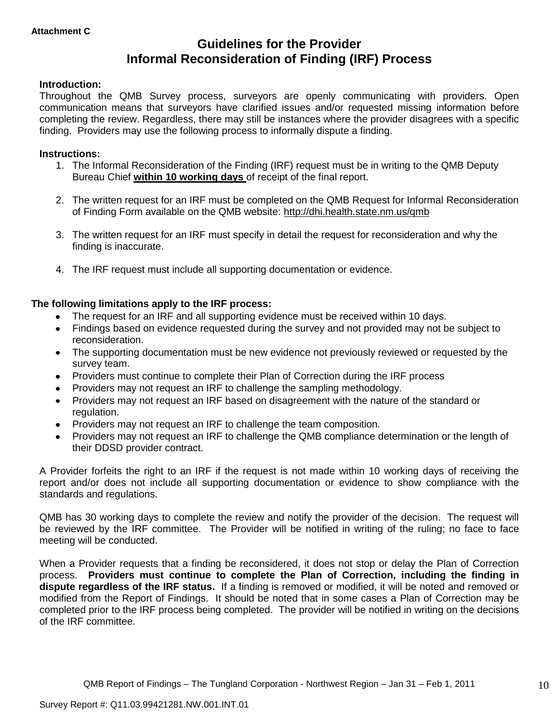# **Guidelines for the Provider Informal Reconsideration of Finding (IRF) Process**

## **Introduction:**

Throughout the QMB Survey process, surveyors are openly communicating with providers. Open communication means that surveyors have clarified issues and/or requested missing information before completing the review. Regardless, there may still be instances where the provider disagrees with a specific finding. Providers may use the following process to informally dispute a finding.

#### **Instructions:**

- 1. The Informal Reconsideration of the Finding (IRF) request must be in writing to the QMB Deputy Bureau Chief **within 10 working days** of receipt of the final report.
- 2. The written request for an IRF must be completed on the QMB Request for Informal Reconsideration of Finding Form available on the QMB website:<http://dhi.health.state.nm.us/qmb>
- 3. The written request for an IRF must specify in detail the request for reconsideration and why the finding is inaccurate.
- 4. The IRF request must include all supporting documentation or evidence.

## **The following limitations apply to the IRF process:**

- The request for an IRF and all supporting evidence must be received within 10 days.
- Findings based on evidence requested during the survey and not provided may not be subject to reconsideration.
- The supporting documentation must be new evidence not previously reviewed or requested by the survey team.
- Providers must continue to complete their Plan of Correction during the IRF process  $\bullet$
- Providers may not request an IRF to challenge the sampling methodology.
- Providers may not request an IRF based on disagreement with the nature of the standard or  $\bullet$ regulation.
- Providers may not request an IRF to challenge the team composition.
- Providers may not request an IRF to challenge the QMB compliance determination or the length of  $\bullet$ their DDSD provider contract.

A Provider forfeits the right to an IRF if the request is not made within 10 working days of receiving the report and/or does not include all supporting documentation or evidence to show compliance with the standards and regulations.

QMB has 30 working days to complete the review and notify the provider of the decision. The request will be reviewed by the IRF committee. The Provider will be notified in writing of the ruling; no face to face meeting will be conducted.

When a Provider requests that a finding be reconsidered, it does not stop or delay the Plan of Correction process. **Providers must continue to complete the Plan of Correction, including the finding in dispute regardless of the IRF status.** If a finding is removed or modified, it will be noted and removed or modified from the Report of Findings. It should be noted that in some cases a Plan of Correction may be completed prior to the IRF process being completed. The provider will be notified in writing on the decisions of the IRF committee.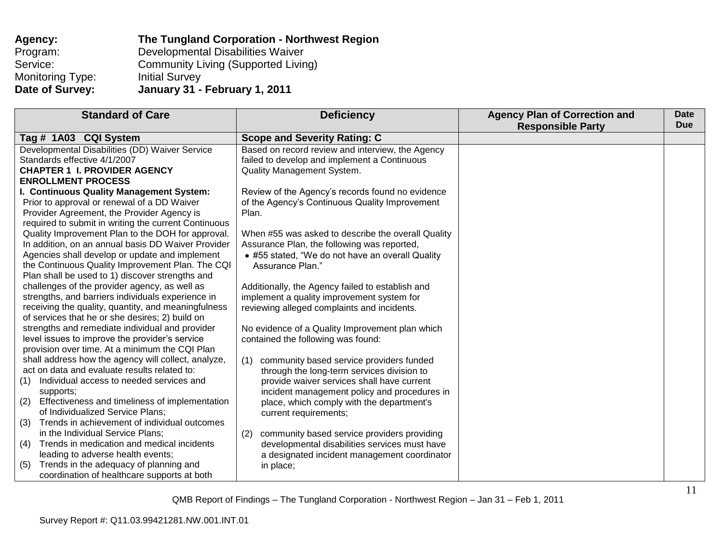| Agency:          | The Tungland Corporation - Northwest Region |
|------------------|---------------------------------------------|
| Program:         | Developmental Disabilities Waiver           |
| Service:         | <b>Community Living (Supported Living)</b>  |
| Monitoring Type: | <b>Initial Survey</b>                       |
| Date of Survey:  | January 31 - February 1, 2011               |

| <b>Scope and Severity Rating: C</b><br>Tag # 1A03 CQI System<br>Developmental Disabilities (DD) Waiver Service<br>Based on record review and interview, the Agency<br>Standards effective 4/1/2007<br>failed to develop and implement a Continuous<br><b>CHAPTER 1 I. PROVIDER AGENCY</b><br><b>Quality Management System.</b> | <b>Standard of Care</b>   | <b>Deficiency</b> | <b>Agency Plan of Correction and</b><br><b>Responsible Party</b> | <b>Date</b><br><b>Due</b> |
|--------------------------------------------------------------------------------------------------------------------------------------------------------------------------------------------------------------------------------------------------------------------------------------------------------------------------------|---------------------------|-------------------|------------------------------------------------------------------|---------------------------|
|                                                                                                                                                                                                                                                                                                                                |                           |                   |                                                                  |                           |
|                                                                                                                                                                                                                                                                                                                                |                           |                   |                                                                  |                           |
|                                                                                                                                                                                                                                                                                                                                |                           |                   |                                                                  |                           |
|                                                                                                                                                                                                                                                                                                                                |                           |                   |                                                                  |                           |
|                                                                                                                                                                                                                                                                                                                                | <b>ENROLLMENT PROCESS</b> |                   |                                                                  |                           |
| I. Continuous Quality Management System:<br>Review of the Agency's records found no evidence                                                                                                                                                                                                                                   |                           |                   |                                                                  |                           |
| Prior to approval or renewal of a DD Waiver<br>of the Agency's Continuous Quality Improvement                                                                                                                                                                                                                                  |                           |                   |                                                                  |                           |
| Provider Agreement, the Provider Agency is<br>Plan.                                                                                                                                                                                                                                                                            |                           |                   |                                                                  |                           |
| required to submit in writing the current Continuous                                                                                                                                                                                                                                                                           |                           |                   |                                                                  |                           |
| Quality Improvement Plan to the DOH for approval.<br>When #55 was asked to describe the overall Quality                                                                                                                                                                                                                        |                           |                   |                                                                  |                           |
| In addition, on an annual basis DD Waiver Provider<br>Assurance Plan, the following was reported,                                                                                                                                                                                                                              |                           |                   |                                                                  |                           |
| Agencies shall develop or update and implement<br>• #55 stated, "We do not have an overall Quality                                                                                                                                                                                                                             |                           |                   |                                                                  |                           |
| the Continuous Quality Improvement Plan. The CQI<br>Assurance Plan."                                                                                                                                                                                                                                                           |                           |                   |                                                                  |                           |
| Plan shall be used to 1) discover strengths and                                                                                                                                                                                                                                                                                |                           |                   |                                                                  |                           |
| challenges of the provider agency, as well as<br>Additionally, the Agency failed to establish and                                                                                                                                                                                                                              |                           |                   |                                                                  |                           |
| strengths, and barriers individuals experience in<br>implement a quality improvement system for                                                                                                                                                                                                                                |                           |                   |                                                                  |                           |
| receiving the quality, quantity, and meaningfulness<br>reviewing alleged complaints and incidents.                                                                                                                                                                                                                             |                           |                   |                                                                  |                           |
| of services that he or she desires; 2) build on                                                                                                                                                                                                                                                                                |                           |                   |                                                                  |                           |
| strengths and remediate individual and provider<br>No evidence of a Quality Improvement plan which                                                                                                                                                                                                                             |                           |                   |                                                                  |                           |
| level issues to improve the provider's service<br>contained the following was found:                                                                                                                                                                                                                                           |                           |                   |                                                                  |                           |
| provision over time. At a minimum the CQI Plan                                                                                                                                                                                                                                                                                 |                           |                   |                                                                  |                           |
| shall address how the agency will collect, analyze,<br>community based service providers funded<br>(1)<br>act on data and evaluate results related to:                                                                                                                                                                         |                           |                   |                                                                  |                           |
| through the long-term services division to<br>Individual access to needed services and                                                                                                                                                                                                                                         |                           |                   |                                                                  |                           |
| provide waiver services shall have current<br>(1)<br>supports;                                                                                                                                                                                                                                                                 |                           |                   |                                                                  |                           |
| incident management policy and procedures in<br>Effectiveness and timeliness of implementation<br>(2)<br>place, which comply with the department's                                                                                                                                                                             |                           |                   |                                                                  |                           |
| of Individualized Service Plans;<br>current requirements;                                                                                                                                                                                                                                                                      |                           |                   |                                                                  |                           |
| Trends in achievement of individual outcomes<br>(3)                                                                                                                                                                                                                                                                            |                           |                   |                                                                  |                           |
| in the Individual Service Plans;<br>community based service providers providing<br>(2)                                                                                                                                                                                                                                         |                           |                   |                                                                  |                           |
| Trends in medication and medical incidents<br>developmental disabilities services must have<br>(4)                                                                                                                                                                                                                             |                           |                   |                                                                  |                           |
| leading to adverse health events;<br>a designated incident management coordinator                                                                                                                                                                                                                                              |                           |                   |                                                                  |                           |
| Trends in the adequacy of planning and<br>(5)<br>in place;                                                                                                                                                                                                                                                                     |                           |                   |                                                                  |                           |
| coordination of healthcare supports at both                                                                                                                                                                                                                                                                                    |                           |                   |                                                                  |                           |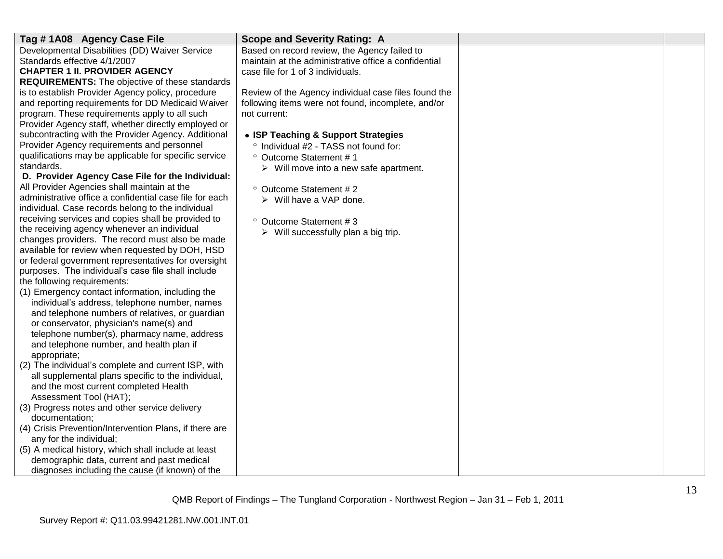| Tag #1A08 Agency Case File                              | <b>Scope and Severity Rating: A</b>                   |  |
|---------------------------------------------------------|-------------------------------------------------------|--|
| Developmental Disabilities (DD) Waiver Service          | Based on record review, the Agency failed to          |  |
| Standards effective 4/1/2007                            | maintain at the administrative office a confidential  |  |
| <b>CHAPTER 1 II. PROVIDER AGENCY</b>                    | case file for 1 of 3 individuals.                     |  |
| <b>REQUIREMENTS:</b> The objective of these standards   |                                                       |  |
| is to establish Provider Agency policy, procedure       | Review of the Agency individual case files found the  |  |
| and reporting requirements for DD Medicaid Waiver       | following items were not found, incomplete, and/or    |  |
| program. These requirements apply to all such           | not current:                                          |  |
| Provider Agency staff, whether directly employed or     |                                                       |  |
| subcontracting with the Provider Agency. Additional     | • ISP Teaching & Support Strategies                   |  |
| Provider Agency requirements and personnel              | ° Individual #2 - TASS not found for:                 |  |
| qualifications may be applicable for specific service   | ° Outcome Statement #1                                |  |
| standards.                                              | $\triangleright$ Will move into a new safe apartment. |  |
| D. Provider Agency Case File for the Individual:        |                                                       |  |
| All Provider Agencies shall maintain at the             | ° Outcome Statement # 2                               |  |
| administrative office a confidential case file for each | $\triangleright$ Will have a VAP done.                |  |
| individual. Case records belong to the individual       |                                                       |  |
| receiving services and copies shall be provided to      | ° Outcome Statement #3                                |  |
| the receiving agency whenever an individual             | $\triangleright$ Will successfully plan a big trip.   |  |
| changes providers. The record must also be made         |                                                       |  |
| available for review when requested by DOH, HSD         |                                                       |  |
| or federal government representatives for oversight     |                                                       |  |
| purposes. The individual's case file shall include      |                                                       |  |
| the following requirements:                             |                                                       |  |
| (1) Emergency contact information, including the        |                                                       |  |
| individual's address, telephone number, names           |                                                       |  |
| and telephone numbers of relatives, or guardian         |                                                       |  |
| or conservator, physician's name(s) and                 |                                                       |  |
| telephone number(s), pharmacy name, address             |                                                       |  |
| and telephone number, and health plan if                |                                                       |  |
| appropriate;                                            |                                                       |  |
| (2) The individual's complete and current ISP, with     |                                                       |  |
| all supplemental plans specific to the individual,      |                                                       |  |
| and the most current completed Health                   |                                                       |  |
| Assessment Tool (HAT);                                  |                                                       |  |
| (3) Progress notes and other service delivery           |                                                       |  |
| documentation;                                          |                                                       |  |
| (4) Crisis Prevention/Intervention Plans, if there are  |                                                       |  |
| any for the individual;                                 |                                                       |  |
| (5) A medical history, which shall include at least     |                                                       |  |
| demographic data, current and past medical              |                                                       |  |
| diagnoses including the cause (if known) of the         |                                                       |  |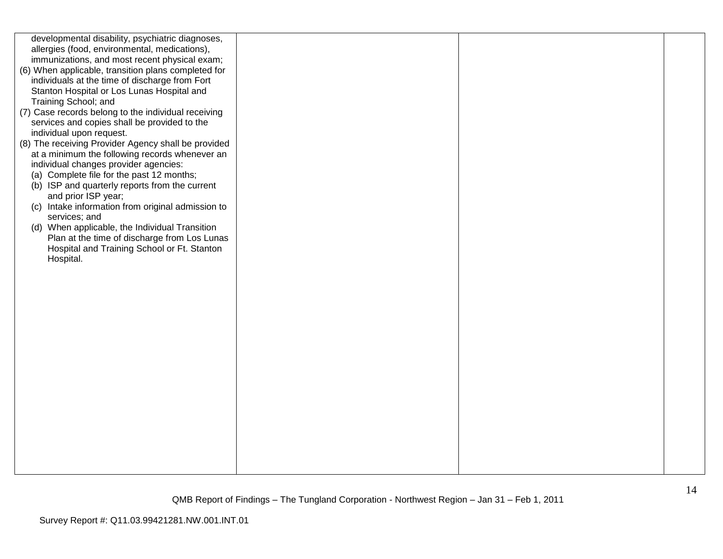| developmental disability, psychiatric diagnoses,                                        |  |  |
|-----------------------------------------------------------------------------------------|--|--|
| allergies (food, environmental, medications),                                           |  |  |
| immunizations, and most recent physical exam;                                           |  |  |
| (6) When applicable, transition plans completed for                                     |  |  |
| individuals at the time of discharge from Fort                                          |  |  |
| Stanton Hospital or Los Lunas Hospital and                                              |  |  |
| Training School; and                                                                    |  |  |
| (7) Case records belong to the individual receiving                                     |  |  |
| services and copies shall be provided to the                                            |  |  |
| individual upon request.                                                                |  |  |
| (8) The receiving Provider Agency shall be provided                                     |  |  |
| at a minimum the following records whenever an<br>individual changes provider agencies: |  |  |
| (a) Complete file for the past 12 months;                                               |  |  |
| (b) ISP and quarterly reports from the current                                          |  |  |
| and prior ISP year;                                                                     |  |  |
| (c) Intake information from original admission to                                       |  |  |
| services; and                                                                           |  |  |
| (d) When applicable, the Individual Transition                                          |  |  |
| Plan at the time of discharge from Los Lunas                                            |  |  |
| Hospital and Training School or Ft. Stanton                                             |  |  |
| Hospital.                                                                               |  |  |
|                                                                                         |  |  |
|                                                                                         |  |  |
|                                                                                         |  |  |
|                                                                                         |  |  |
|                                                                                         |  |  |
|                                                                                         |  |  |
|                                                                                         |  |  |
|                                                                                         |  |  |
|                                                                                         |  |  |
|                                                                                         |  |  |
|                                                                                         |  |  |
|                                                                                         |  |  |
|                                                                                         |  |  |
|                                                                                         |  |  |
|                                                                                         |  |  |
|                                                                                         |  |  |
|                                                                                         |  |  |
|                                                                                         |  |  |
|                                                                                         |  |  |
|                                                                                         |  |  |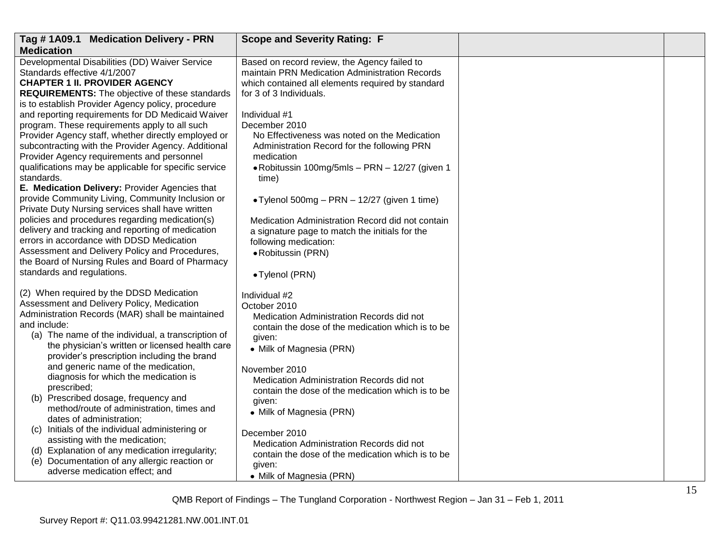| Tag #1A09.1 Medication Delivery - PRN                                                                                                                                                                                                                                                                              | <b>Scope and Severity Rating: F</b>                                                                                                                                   |  |
|--------------------------------------------------------------------------------------------------------------------------------------------------------------------------------------------------------------------------------------------------------------------------------------------------------------------|-----------------------------------------------------------------------------------------------------------------------------------------------------------------------|--|
| <b>Medication</b>                                                                                                                                                                                                                                                                                                  |                                                                                                                                                                       |  |
| Developmental Disabilities (DD) Waiver Service<br>Standards effective 4/1/2007<br><b>CHAPTER 1 II. PROVIDER AGENCY</b>                                                                                                                                                                                             | Based on record review, the Agency failed to<br>maintain PRN Medication Administration Records<br>which contained all elements required by standard                   |  |
| <b>REQUIREMENTS:</b> The objective of these standards<br>is to establish Provider Agency policy, procedure                                                                                                                                                                                                         | for 3 of 3 Individuals.                                                                                                                                               |  |
| and reporting requirements for DD Medicaid Waiver<br>program. These requirements apply to all such<br>Provider Agency staff, whether directly employed or<br>subcontracting with the Provider Agency. Additional<br>Provider Agency requirements and personnel                                                     | Individual #1<br>December 2010<br>No Effectiveness was noted on the Medication<br>Administration Record for the following PRN<br>medication                           |  |
| qualifications may be applicable for specific service<br>standards.                                                                                                                                                                                                                                                | • Robitussin 100mg/5mls - PRN - 12/27 (given 1<br>time)                                                                                                               |  |
| E. Medication Delivery: Provider Agencies that<br>provide Community Living, Community Inclusion or<br>Private Duty Nursing services shall have written                                                                                                                                                             | • Tylenol 500mg – PRN – 12/27 (given 1 time)                                                                                                                          |  |
| policies and procedures regarding medication(s)<br>delivery and tracking and reporting of medication<br>errors in accordance with DDSD Medication<br>Assessment and Delivery Policy and Procedures,<br>the Board of Nursing Rules and Board of Pharmacy                                                            | Medication Administration Record did not contain<br>a signature page to match the initials for the<br>following medication:<br>· Robitussin (PRN)                     |  |
| standards and regulations.                                                                                                                                                                                                                                                                                         | • Tylenol (PRN)                                                                                                                                                       |  |
| (2) When required by the DDSD Medication<br>Assessment and Delivery Policy, Medication<br>Administration Records (MAR) shall be maintained<br>and include:<br>(a) The name of the individual, a transcription of<br>the physician's written or licensed health care<br>provider's prescription including the brand | Individual #2<br>October 2010<br>Medication Administration Records did not<br>contain the dose of the medication which is to be<br>given:<br>• Milk of Magnesia (PRN) |  |
| and generic name of the medication,<br>diagnosis for which the medication is<br>prescribed;<br>(b) Prescribed dosage, frequency and<br>method/route of administration, times and                                                                                                                                   | November 2010<br>Medication Administration Records did not<br>contain the dose of the medication which is to be<br>given:                                             |  |
| dates of administration;                                                                                                                                                                                                                                                                                           | • Milk of Magnesia (PRN)                                                                                                                                              |  |
| (c) Initials of the individual administering or<br>assisting with the medication;                                                                                                                                                                                                                                  | December 2010<br>Medication Administration Records did not                                                                                                            |  |
| (d) Explanation of any medication irregularity;<br>(e) Documentation of any allergic reaction or<br>adverse medication effect; and                                                                                                                                                                                 | contain the dose of the medication which is to be<br>given:                                                                                                           |  |
|                                                                                                                                                                                                                                                                                                                    | • Milk of Magnesia (PRN)                                                                                                                                              |  |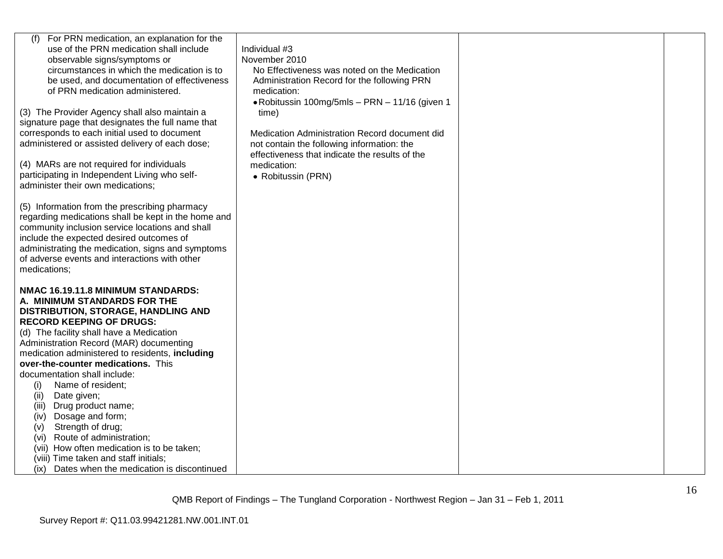| For PRN medication, an explanation for the<br>use of the PRN medication shall include<br>observable signs/symptoms or<br>circumstances in which the medication is to<br>be used, and documentation of effectiveness<br>of PRN medication administered.<br>(3) The Provider Agency shall also maintain a<br>signature page that designates the full name that<br>corresponds to each initial used to document<br>administered or assisted delivery of each dose;<br>(4) MARs are not required for individuals<br>participating in Independent Living who self-<br>administer their own medications;<br>(5) Information from the prescribing pharmacy<br>regarding medications shall be kept in the home and<br>community inclusion service locations and shall<br>include the expected desired outcomes of<br>administrating the medication, signs and symptoms<br>of adverse events and interactions with other | Individual #3<br>November 2010<br>No Effectiveness was noted on the Medication<br>Administration Record for the following PRN<br>medication:<br>• Robitussin 100mg/5mls - PRN - 11/16 (given 1<br>time)<br>Medication Administration Record document did<br>not contain the following information: the<br>effectiveness that indicate the results of the<br>medication:<br>• Robitussin (PRN) |  |
|-----------------------------------------------------------------------------------------------------------------------------------------------------------------------------------------------------------------------------------------------------------------------------------------------------------------------------------------------------------------------------------------------------------------------------------------------------------------------------------------------------------------------------------------------------------------------------------------------------------------------------------------------------------------------------------------------------------------------------------------------------------------------------------------------------------------------------------------------------------------------------------------------------------------|-----------------------------------------------------------------------------------------------------------------------------------------------------------------------------------------------------------------------------------------------------------------------------------------------------------------------------------------------------------------------------------------------|--|
| medications;<br>NMAC 16.19.11.8 MINIMUM STANDARDS:<br>A. MINIMUM STANDARDS FOR THE<br>DISTRIBUTION, STORAGE, HANDLING AND<br><b>RECORD KEEPING OF DRUGS:</b><br>(d) The facility shall have a Medication<br>Administration Record (MAR) documenting<br>medication administered to residents, including<br>over-the-counter medications. This<br>documentation shall include:<br>Name of resident;<br>(i)<br>Date given;<br>(ii)<br>Drug product name;<br>(iii)<br>Dosage and form;<br>(iv)<br>Strength of drug;<br>(v)<br>Route of administration;<br>(vi)<br>(vii) How often medication is to be taken;<br>(viii) Time taken and staff initials;<br>Dates when the medication is discontinued<br>(ix)                                                                                                                                                                                                          |                                                                                                                                                                                                                                                                                                                                                                                               |  |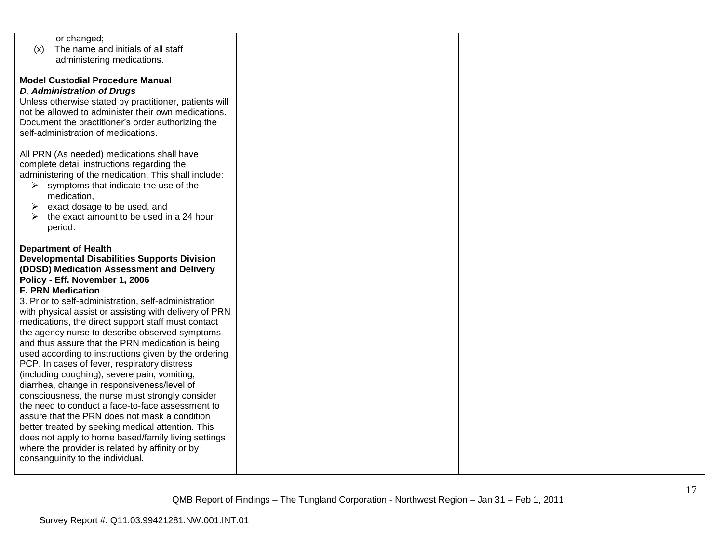| or changed;                                            |  |  |
|--------------------------------------------------------|--|--|
| The name and initials of all staff                     |  |  |
| (x)                                                    |  |  |
| administering medications.                             |  |  |
|                                                        |  |  |
| <b>Model Custodial Procedure Manual</b>                |  |  |
| <b>D. Administration of Drugs</b>                      |  |  |
| Unless otherwise stated by practitioner, patients will |  |  |
| not be allowed to administer their own medications.    |  |  |
| Document the practitioner's order authorizing the      |  |  |
| self-administration of medications.                    |  |  |
|                                                        |  |  |
| All PRN (As needed) medications shall have             |  |  |
| complete detail instructions regarding the             |  |  |
| administering of the medication. This shall include:   |  |  |
| symptoms that indicate the use of the<br>➤             |  |  |
| medication,                                            |  |  |
| exact dosage to be used, and<br>➤                      |  |  |
| the exact amount to be used in a 24 hour               |  |  |
| period.                                                |  |  |
|                                                        |  |  |
| <b>Department of Health</b>                            |  |  |
| <b>Developmental Disabilities Supports Division</b>    |  |  |
| (DDSD) Medication Assessment and Delivery              |  |  |
| Policy - Eff. November 1, 2006                         |  |  |
| <b>F. PRN Medication</b>                               |  |  |
| 3. Prior to self-administration, self-administration   |  |  |
| with physical assist or assisting with delivery of PRN |  |  |
| medications, the direct support staff must contact     |  |  |
| the agency nurse to describe observed symptoms         |  |  |
| and thus assure that the PRN medication is being       |  |  |
|                                                        |  |  |
| used according to instructions given by the ordering   |  |  |
| PCP. In cases of fever, respiratory distress           |  |  |
| (including coughing), severe pain, vomiting,           |  |  |
| diarrhea, change in responsiveness/level of            |  |  |
| consciousness, the nurse must strongly consider        |  |  |
| the need to conduct a face-to-face assessment to       |  |  |
| assure that the PRN does not mask a condition          |  |  |
| better treated by seeking medical attention. This      |  |  |
| does not apply to home based/family living settings    |  |  |
| where the provider is related by affinity or by        |  |  |
| consanguinity to the individual.                       |  |  |
|                                                        |  |  |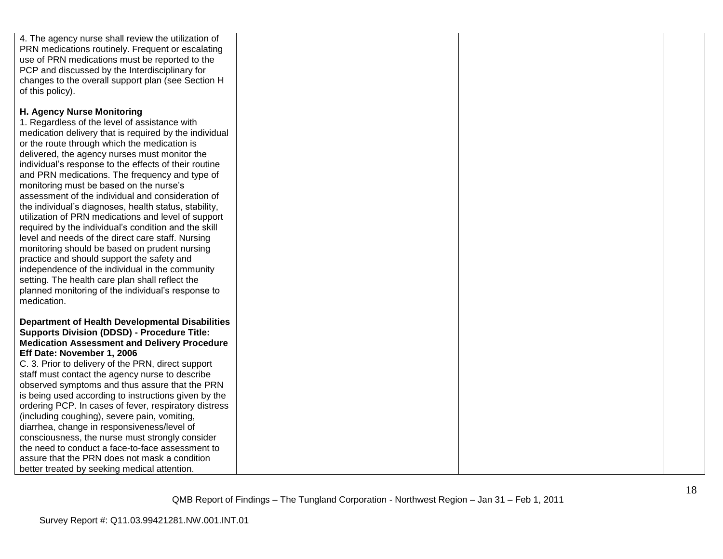| 4. The agency nurse shall review the utilization of                                                          |  |  |
|--------------------------------------------------------------------------------------------------------------|--|--|
| PRN medications routinely. Frequent or escalating<br>use of PRN medications must be reported to the          |  |  |
| PCP and discussed by the Interdisciplinary for                                                               |  |  |
| changes to the overall support plan (see Section H                                                           |  |  |
| of this policy).                                                                                             |  |  |
|                                                                                                              |  |  |
| H. Agency Nurse Monitoring                                                                                   |  |  |
| 1. Regardless of the level of assistance with                                                                |  |  |
| medication delivery that is required by the individual                                                       |  |  |
| or the route through which the medication is<br>delivered, the agency nurses must monitor the                |  |  |
| individual's response to the effects of their routine                                                        |  |  |
| and PRN medications. The frequency and type of                                                               |  |  |
| monitoring must be based on the nurse's                                                                      |  |  |
| assessment of the individual and consideration of                                                            |  |  |
| the individual's diagnoses, health status, stability,                                                        |  |  |
| utilization of PRN medications and level of support                                                          |  |  |
| required by the individual's condition and the skill                                                         |  |  |
| level and needs of the direct care staff. Nursing<br>monitoring should be based on prudent nursing           |  |  |
| practice and should support the safety and                                                                   |  |  |
| independence of the individual in the community                                                              |  |  |
| setting. The health care plan shall reflect the                                                              |  |  |
| planned monitoring of the individual's response to                                                           |  |  |
| medication.                                                                                                  |  |  |
|                                                                                                              |  |  |
| <b>Department of Health Developmental Disabilities</b><br><b>Supports Division (DDSD) - Procedure Title:</b> |  |  |
| <b>Medication Assessment and Delivery Procedure</b>                                                          |  |  |
| Eff Date: November 1, 2006                                                                                   |  |  |
| C. 3. Prior to delivery of the PRN, direct support                                                           |  |  |
| staff must contact the agency nurse to describe                                                              |  |  |
| observed symptoms and thus assure that the PRN                                                               |  |  |
| is being used according to instructions given by the                                                         |  |  |
| ordering PCP. In cases of fever, respiratory distress<br>(including coughing), severe pain, vomiting,        |  |  |
| diarrhea, change in responsiveness/level of                                                                  |  |  |
| consciousness, the nurse must strongly consider                                                              |  |  |
| the need to conduct a face-to-face assessment to                                                             |  |  |
| assure that the PRN does not mask a condition                                                                |  |  |
| better treated by seeking medical attention.                                                                 |  |  |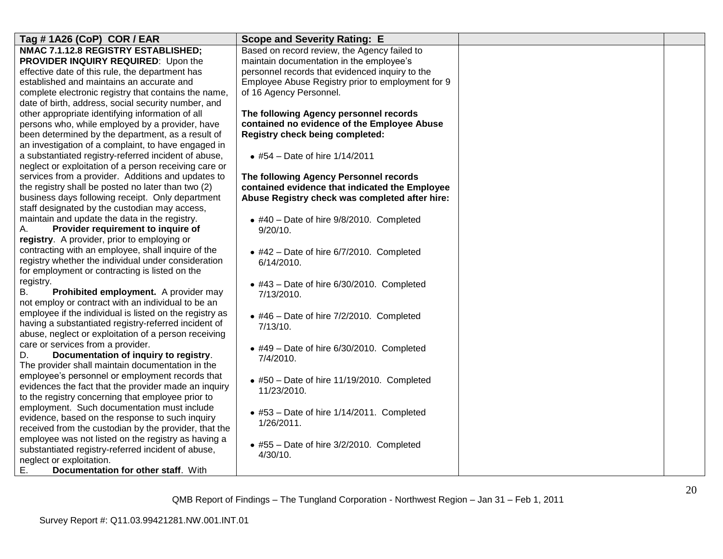| Tag # 1A26 (CoP) COR / EAR                              | <b>Scope and Severity Rating: E</b>                          |  |
|---------------------------------------------------------|--------------------------------------------------------------|--|
| NMAC 7.1.12.8 REGISTRY ESTABLISHED;                     | Based on record review, the Agency failed to                 |  |
| PROVIDER INQUIRY REQUIRED: Upon the                     | maintain documentation in the employee's                     |  |
| effective date of this rule, the department has         | personnel records that evidenced inquiry to the              |  |
| established and maintains an accurate and               | Employee Abuse Registry prior to employment for 9            |  |
| complete electronic registry that contains the name,    | of 16 Agency Personnel.                                      |  |
| date of birth, address, social security number, and     |                                                              |  |
| other appropriate identifying information of all        | The following Agency personnel records                       |  |
| persons who, while employed by a provider, have         | contained no evidence of the Employee Abuse                  |  |
| been determined by the department, as a result of       | Registry check being completed:                              |  |
| an investigation of a complaint, to have engaged in     |                                                              |  |
| a substantiated registry-referred incident of abuse,    | • #54 - Date of hire 1/14/2011                               |  |
| neglect or exploitation of a person receiving care or   |                                                              |  |
| services from a provider. Additions and updates to      | The following Agency Personnel records                       |  |
| the registry shall be posted no later than two (2)      | contained evidence that indicated the Employee               |  |
| business days following receipt. Only department        | Abuse Registry check was completed after hire:               |  |
| staff designated by the custodian may access,           |                                                              |  |
| maintain and update the data in the registry.           | $\bullet$ #40 - Date of hire 9/8/2010. Completed             |  |
| Provider requirement to inquire of<br>А.                | $9/20/10$ .                                                  |  |
| registry. A provider, prior to employing or             |                                                              |  |
| contracting with an employee, shall inquire of the      | $\bullet$ #42 - Date of hire 6/7/2010. Completed             |  |
| registry whether the individual under consideration     | 6/14/2010.                                                   |  |
| for employment or contracting is listed on the          |                                                              |  |
| registry.                                               | $\bullet$ #43 - Date of hire 6/30/2010. Completed            |  |
| <b>B.</b><br>Prohibited employment. A provider may      | 7/13/2010.                                                   |  |
| not employ or contract with an individual to be an      |                                                              |  |
| employee if the individual is listed on the registry as | $\bullet$ #46 - Date of hire 7/2/2010. Completed             |  |
| having a substantiated registry-referred incident of    | 7/13/10.                                                     |  |
| abuse, neglect or exploitation of a person receiving    |                                                              |  |
| care or services from a provider.                       | $\bullet$ #49 - Date of hire 6/30/2010. Completed            |  |
| Documentation of inquiry to registry.<br>D.             | 7/4/2010.                                                    |  |
| The provider shall maintain documentation in the        |                                                              |  |
| employee's personnel or employment records that         | $\bullet$ #50 - Date of hire 11/19/2010. Completed           |  |
| evidences the fact that the provider made an inquiry    | 11/23/2010.                                                  |  |
| to the registry concerning that employee prior to       |                                                              |  |
| employment. Such documentation must include             | • #53 - Date of hire 1/14/2011. Completed                    |  |
| evidence, based on the response to such inquiry         | 1/26/2011.                                                   |  |
| received from the custodian by the provider, that the   |                                                              |  |
| employee was not listed on the registry as having a     |                                                              |  |
| substantiated registry-referred incident of abuse,      | $\bullet$ #55 - Date of hire 3/2/2010. Completed<br>4/30/10. |  |
| neglect or exploitation.                                |                                                              |  |
| Е.<br><b>Documentation for other staff.</b> With        |                                                              |  |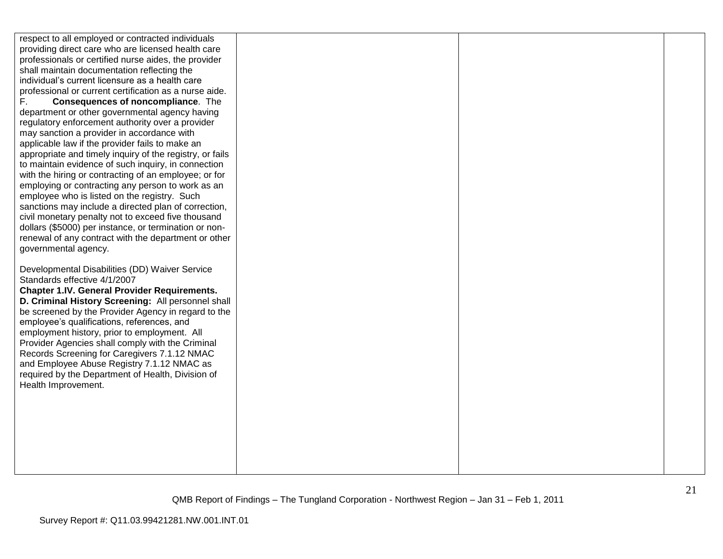respect to all employed or contracted individuals providing direct care who are licensed health care professionals or certified nurse aides, the provider shall maintain documentation reflecting the individual"s current licensure as a health care professional or current certification as a nurse aide. F. **Consequences of noncompliance**. The department or other governmental agency having regulatory enforcement authority over a provider may sanction a provider in accordance with applicable law if the provider fails to make an appropriate and timely inquiry of the registry, or fails to maintain evidence of such inquiry, in connection with the hiring or contracting of an employee; or for employing or contracting any person to work as an employee who is listed on the registry. Such sanctions may include a directed plan of correction, civil monetary penalty not to exceed five thousand dollars (\$5000) per instance, or termination or nonrenewal of any contract with the department or other governmental agency. Developmental Disabilities (DD) Waiver Service Standards effective 4/1/2007 **Chapter 1.IV. General Provider Requirements. D. Criminal History Screening:** All personnel shall be screened by the Provider Agency in regard to the employee"s qualifications, references, and employment history, prior to employment. All Provider Agencies shall comply with the Criminal Records Screening for Caregivers 7.1.12 NMAC and Employee Abuse Registry 7.1.12 NMAC as required by the Department of Health, Division of Health Improvement.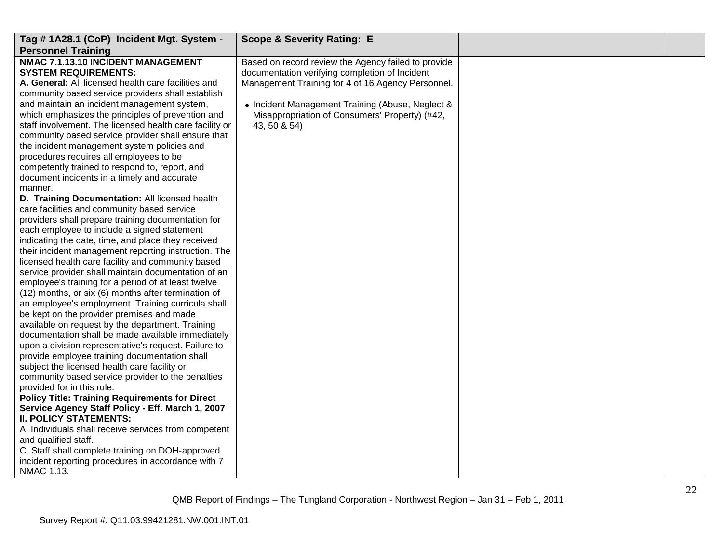| NMAC 7.1.13.10 INCIDENT MANAGEMENT<br>Based on record review the Agency failed to provide<br><b>SYSTEM REQUIREMENTS:</b><br>documentation verifying completion of Incident<br>A. General: All licensed health care facilities and<br>Management Training for 4 of 16 Agency Personnel.<br>community based service providers shall establish                                                                                                                                                                                                                                                                                                                                                                                                                                                                                                                                                                                                                                                                                                                                                                                                                                                                                                                                                                                                                                                                                                                                                                                                                                                                                                                                                                                                                                                            | Tag #1A28.1 (CoP) Incident Mgt. System -<br><b>Personnel Training</b> | <b>Scope &amp; Severity Rating: E</b>            |  |
|--------------------------------------------------------------------------------------------------------------------------------------------------------------------------------------------------------------------------------------------------------------------------------------------------------------------------------------------------------------------------------------------------------------------------------------------------------------------------------------------------------------------------------------------------------------------------------------------------------------------------------------------------------------------------------------------------------------------------------------------------------------------------------------------------------------------------------------------------------------------------------------------------------------------------------------------------------------------------------------------------------------------------------------------------------------------------------------------------------------------------------------------------------------------------------------------------------------------------------------------------------------------------------------------------------------------------------------------------------------------------------------------------------------------------------------------------------------------------------------------------------------------------------------------------------------------------------------------------------------------------------------------------------------------------------------------------------------------------------------------------------------------------------------------------------|-----------------------------------------------------------------------|--------------------------------------------------|--|
| which emphasizes the principles of prevention and<br>Misappropriation of Consumers' Property) (#42,<br>staff involvement. The licensed health care facility or<br>43, 50 & 54)<br>community based service provider shall ensure that<br>the incident management system policies and<br>procedures requires all employees to be<br>competently trained to respond to, report, and<br>document incidents in a timely and accurate<br>manner.<br>D. Training Documentation: All licensed health<br>care facilities and community based service<br>providers shall prepare training documentation for<br>each employee to include a signed statement<br>indicating the date, time, and place they received<br>their incident management reporting instruction. The<br>licensed health care facility and community based<br>service provider shall maintain documentation of an<br>employee's training for a period of at least twelve<br>(12) months, or six (6) months after termination of<br>an employee's employment. Training curricula shall<br>be kept on the provider premises and made<br>available on request by the department. Training<br>documentation shall be made available immediately<br>upon a division representative's request. Failure to<br>provide employee training documentation shall<br>subject the licensed health care facility or<br>community based service provider to the penalties<br>provided for in this rule.<br><b>Policy Title: Training Requirements for Direct</b><br>Service Agency Staff Policy - Eff. March 1, 2007<br><b>II. POLICY STATEMENTS:</b><br>A. Individuals shall receive services from competent<br>and qualified staff.<br>C. Staff shall complete training on DOH-approved<br>incident reporting procedures in accordance with 7<br>NMAC 1.13. | and maintain an incident management system,                           | • Incident Management Training (Abuse, Neglect & |  |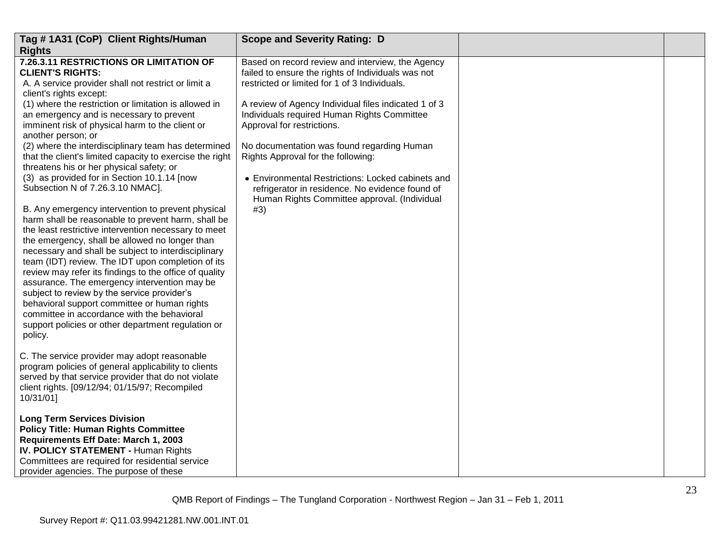| Tag #1A31 (CoP) Client Rights/Human                                                                                                                                                                                                                                                                                                                                                                                                                                                                                                                                                                                                                    | <b>Scope and Severity Rating: D</b>                                                                                                                  |  |
|--------------------------------------------------------------------------------------------------------------------------------------------------------------------------------------------------------------------------------------------------------------------------------------------------------------------------------------------------------------------------------------------------------------------------------------------------------------------------------------------------------------------------------------------------------------------------------------------------------------------------------------------------------|------------------------------------------------------------------------------------------------------------------------------------------------------|--|
| <b>Rights</b>                                                                                                                                                                                                                                                                                                                                                                                                                                                                                                                                                                                                                                          |                                                                                                                                                      |  |
| 7.26.3.11 RESTRICTIONS OR LIMITATION OF<br><b>CLIENT'S RIGHTS:</b>                                                                                                                                                                                                                                                                                                                                                                                                                                                                                                                                                                                     | Based on record review and interview, the Agency<br>failed to ensure the rights of Individuals was not                                               |  |
| A. A service provider shall not restrict or limit a<br>client's rights except:                                                                                                                                                                                                                                                                                                                                                                                                                                                                                                                                                                         | restricted or limited for 1 of 3 Individuals.                                                                                                        |  |
| (1) where the restriction or limitation is allowed in                                                                                                                                                                                                                                                                                                                                                                                                                                                                                                                                                                                                  | A review of Agency Individual files indicated 1 of 3                                                                                                 |  |
| an emergency and is necessary to prevent<br>imminent risk of physical harm to the client or<br>another person; or                                                                                                                                                                                                                                                                                                                                                                                                                                                                                                                                      | Individuals required Human Rights Committee<br>Approval for restrictions.                                                                            |  |
| (2) where the interdisciplinary team has determined<br>that the client's limited capacity to exercise the right<br>threatens his or her physical safety; or                                                                                                                                                                                                                                                                                                                                                                                                                                                                                            | No documentation was found regarding Human<br>Rights Approval for the following:                                                                     |  |
| (3) as provided for in Section 10.1.14 [now<br>Subsection N of 7.26.3.10 NMAC].                                                                                                                                                                                                                                                                                                                                                                                                                                                                                                                                                                        | • Environmental Restrictions: Locked cabinets and<br>refrigerator in residence. No evidence found of<br>Human Rights Committee approval. (Individual |  |
| B. Any emergency intervention to prevent physical<br>harm shall be reasonable to prevent harm, shall be<br>the least restrictive intervention necessary to meet<br>the emergency, shall be allowed no longer than<br>necessary and shall be subject to interdisciplinary<br>team (IDT) review. The IDT upon completion of its<br>review may refer its findings to the office of quality<br>assurance. The emergency intervention may be<br>subject to review by the service provider's<br>behavioral support committee or human rights<br>committee in accordance with the behavioral<br>support policies or other department regulation or<br>policy. | #3)                                                                                                                                                  |  |
| C. The service provider may adopt reasonable<br>program policies of general applicability to clients<br>served by that service provider that do not violate<br>client rights. [09/12/94; 01/15/97; Recompiled<br>10/31/01]                                                                                                                                                                                                                                                                                                                                                                                                                             |                                                                                                                                                      |  |
| <b>Long Term Services Division</b><br><b>Policy Title: Human Rights Committee</b><br>Requirements Eff Date: March 1, 2003<br><b>IV. POLICY STATEMENT - Human Rights</b><br>Committees are required for residential service<br>provider agencies. The purpose of these                                                                                                                                                                                                                                                                                                                                                                                  |                                                                                                                                                      |  |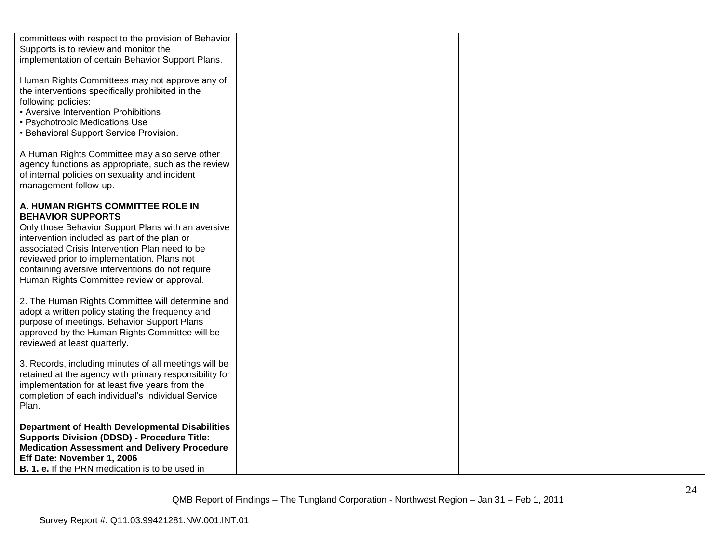| committees with respect to the provision of Behavior<br>Supports is to review and monitor the<br>implementation of certain Behavior Support Plans.                                                                                                                                                                                                                     |  |
|------------------------------------------------------------------------------------------------------------------------------------------------------------------------------------------------------------------------------------------------------------------------------------------------------------------------------------------------------------------------|--|
| Human Rights Committees may not approve any of<br>the interventions specifically prohibited in the<br>following policies:<br>• Aversive Intervention Prohibitions<br>• Psychotropic Medications Use<br>• Behavioral Support Service Provision.                                                                                                                         |  |
| A Human Rights Committee may also serve other<br>agency functions as appropriate, such as the review<br>of internal policies on sexuality and incident<br>management follow-up.                                                                                                                                                                                        |  |
| A. HUMAN RIGHTS COMMITTEE ROLE IN<br><b>BEHAVIOR SUPPORTS</b><br>Only those Behavior Support Plans with an aversive<br>intervention included as part of the plan or<br>associated Crisis Intervention Plan need to be<br>reviewed prior to implementation. Plans not<br>containing aversive interventions do not require<br>Human Rights Committee review or approval. |  |
| 2. The Human Rights Committee will determine and<br>adopt a written policy stating the frequency and<br>purpose of meetings. Behavior Support Plans<br>approved by the Human Rights Committee will be<br>reviewed at least quarterly.                                                                                                                                  |  |
| 3. Records, including minutes of all meetings will be<br>retained at the agency with primary responsibility for<br>implementation for at least five years from the<br>completion of each individual's Individual Service<br>Plan.                                                                                                                                      |  |
| <b>Department of Health Developmental Disabilities</b><br><b>Supports Division (DDSD) - Procedure Title:</b><br><b>Medication Assessment and Delivery Procedure</b><br>Eff Date: November 1, 2006<br><b>B. 1. e.</b> If the PRN medication is to be used in                                                                                                            |  |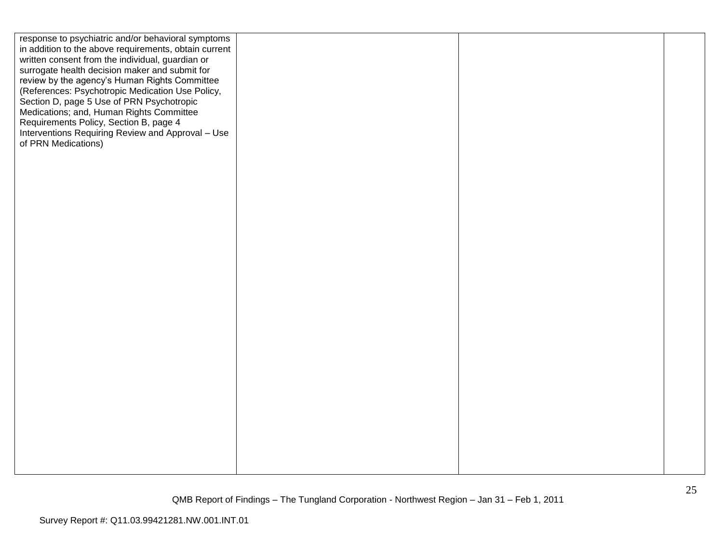| response to psychiatric and/or behavioral symptoms    |  |  |
|-------------------------------------------------------|--|--|
| in addition to the above requirements, obtain current |  |  |
| written consent from the individual, guardian or      |  |  |
| surrogate health decision maker and submit for        |  |  |
| review by the agency's Human Rights Committee         |  |  |
| (References: Psychotropic Medication Use Policy,      |  |  |
| Section D, page 5 Use of PRN Psychotropic             |  |  |
| Medications; and, Human Rights Committee              |  |  |
| Requirements Policy, Section B, page 4                |  |  |
| Interventions Requiring Review and Approval - Use     |  |  |
| of PRN Medications)                                   |  |  |
|                                                       |  |  |
|                                                       |  |  |
|                                                       |  |  |
|                                                       |  |  |
|                                                       |  |  |
|                                                       |  |  |
|                                                       |  |  |
|                                                       |  |  |
|                                                       |  |  |
|                                                       |  |  |
|                                                       |  |  |
|                                                       |  |  |
|                                                       |  |  |
|                                                       |  |  |
|                                                       |  |  |
|                                                       |  |  |
|                                                       |  |  |
|                                                       |  |  |
|                                                       |  |  |
|                                                       |  |  |
|                                                       |  |  |
|                                                       |  |  |
|                                                       |  |  |
|                                                       |  |  |
|                                                       |  |  |
|                                                       |  |  |
|                                                       |  |  |
|                                                       |  |  |
|                                                       |  |  |
|                                                       |  |  |
|                                                       |  |  |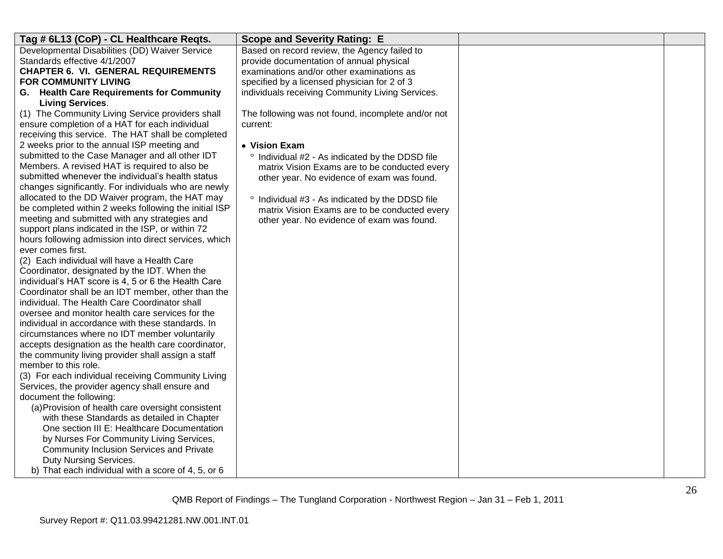| Tag # 6L13 (CoP) - CL Healthcare Reqts.                                                             | <b>Scope and Severity Rating: E</b>                |  |
|-----------------------------------------------------------------------------------------------------|----------------------------------------------------|--|
| Developmental Disabilities (DD) Waiver Service                                                      | Based on record review, the Agency failed to       |  |
| Standards effective 4/1/2007                                                                        | provide documentation of annual physical           |  |
| <b>CHAPTER 6. VI. GENERAL REQUIREMENTS</b>                                                          | examinations and/or other examinations as          |  |
| FOR COMMUNITY LIVING                                                                                | specified by a licensed physician for 2 of 3       |  |
| G. Health Care Requirements for Community                                                           | individuals receiving Community Living Services.   |  |
| <b>Living Services.</b>                                                                             |                                                    |  |
| (1) The Community Living Service providers shall                                                    | The following was not found, incomplete and/or not |  |
| ensure completion of a HAT for each individual                                                      | current:                                           |  |
| receiving this service. The HAT shall be completed                                                  |                                                    |  |
| 2 weeks prior to the annual ISP meeting and                                                         | • Vision Exam                                      |  |
| submitted to the Case Manager and all other IDT                                                     | ° Individual #2 - As indicated by the DDSD file    |  |
| Members. A revised HAT is required to also be                                                       | matrix Vision Exams are to be conducted every      |  |
| submitted whenever the individual's health status                                                   | other year. No evidence of exam was found.         |  |
| changes significantly. For individuals who are newly                                                |                                                    |  |
| allocated to the DD Waiver program, the HAT may                                                     | ° Individual #3 - As indicated by the DDSD file    |  |
| be completed within 2 weeks following the initial ISP                                               | matrix Vision Exams are to be conducted every      |  |
| meeting and submitted with any strategies and                                                       | other year. No evidence of exam was found.         |  |
| support plans indicated in the ISP, or within 72                                                    |                                                    |  |
| hours following admission into direct services, which                                               |                                                    |  |
| ever comes first.                                                                                   |                                                    |  |
| (2) Each individual will have a Health Care                                                         |                                                    |  |
| Coordinator, designated by the IDT. When the<br>individual's HAT score is 4, 5 or 6 the Health Care |                                                    |  |
| Coordinator shall be an IDT member, other than the                                                  |                                                    |  |
| individual. The Health Care Coordinator shall                                                       |                                                    |  |
| oversee and monitor health care services for the                                                    |                                                    |  |
| individual in accordance with these standards. In                                                   |                                                    |  |
| circumstances where no IDT member voluntarily                                                       |                                                    |  |
| accepts designation as the health care coordinator,                                                 |                                                    |  |
| the community living provider shall assign a staff                                                  |                                                    |  |
| member to this role.                                                                                |                                                    |  |
| (3) For each individual receiving Community Living                                                  |                                                    |  |
| Services, the provider agency shall ensure and                                                      |                                                    |  |
| document the following:                                                                             |                                                    |  |
| (a) Provision of health care oversight consistent                                                   |                                                    |  |
| with these Standards as detailed in Chapter                                                         |                                                    |  |
| One section III E: Healthcare Documentation                                                         |                                                    |  |
| by Nurses For Community Living Services,                                                            |                                                    |  |
| Community Inclusion Services and Private                                                            |                                                    |  |
| Duty Nursing Services.                                                                              |                                                    |  |
| b) That each individual with a score of 4, 5, or 6                                                  |                                                    |  |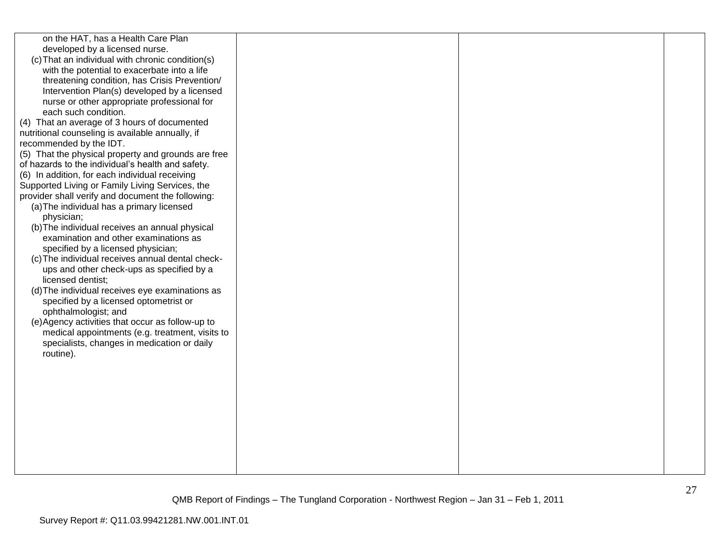| on the HAT, has a Health Care Plan<br>developed by a licensed nurse.<br>(c) That an individual with chronic condition(s)<br>with the potential to exacerbate into a life<br>threatening condition, has Crisis Prevention/<br>Intervention Plan(s) developed by a licensed<br>nurse or other appropriate professional for<br>each such condition.<br>(4) That an average of 3 hours of documented<br>nutritional counseling is available annually, if<br>recommended by the IDT.<br>(5) That the physical property and grounds are free<br>of hazards to the individual's health and safety.<br>(6) In addition, for each individual receiving<br>Supported Living or Family Living Services, the<br>provider shall verify and document the following:<br>(a) The individual has a primary licensed<br>physician;<br>(b) The individual receives an annual physical<br>examination and other examinations as<br>specified by a licensed physician;<br>(c) The individual receives annual dental check-<br>ups and other check-ups as specified by a<br>licensed dentist;<br>(d) The individual receives eye examinations as<br>specified by a licensed optometrist or<br>ophthalmologist; and<br>(e) Agency activities that occur as follow-up to<br>medical appointments (e.g. treatment, visits to<br>specialists, changes in medication or daily<br>routine). |  |  |
|-----------------------------------------------------------------------------------------------------------------------------------------------------------------------------------------------------------------------------------------------------------------------------------------------------------------------------------------------------------------------------------------------------------------------------------------------------------------------------------------------------------------------------------------------------------------------------------------------------------------------------------------------------------------------------------------------------------------------------------------------------------------------------------------------------------------------------------------------------------------------------------------------------------------------------------------------------------------------------------------------------------------------------------------------------------------------------------------------------------------------------------------------------------------------------------------------------------------------------------------------------------------------------------------------------------------------------------------------------------------|--|--|
|                                                                                                                                                                                                                                                                                                                                                                                                                                                                                                                                                                                                                                                                                                                                                                                                                                                                                                                                                                                                                                                                                                                                                                                                                                                                                                                                                                 |  |  |
|                                                                                                                                                                                                                                                                                                                                                                                                                                                                                                                                                                                                                                                                                                                                                                                                                                                                                                                                                                                                                                                                                                                                                                                                                                                                                                                                                                 |  |  |
|                                                                                                                                                                                                                                                                                                                                                                                                                                                                                                                                                                                                                                                                                                                                                                                                                                                                                                                                                                                                                                                                                                                                                                                                                                                                                                                                                                 |  |  |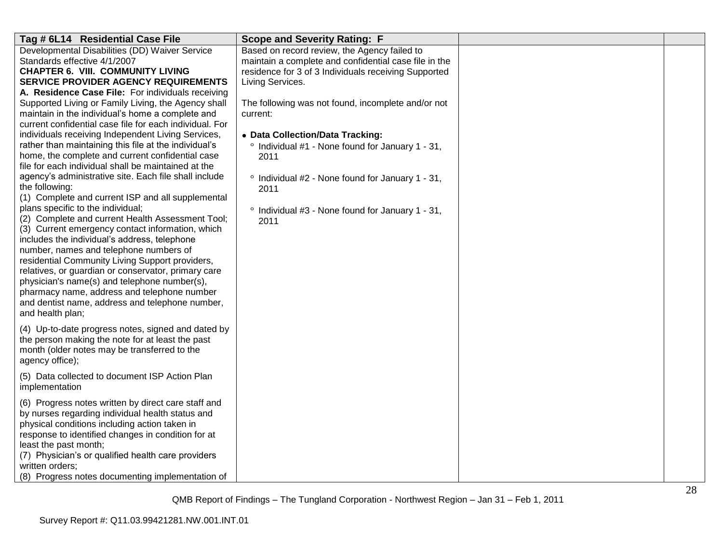| Tag # 6L14 Residential Case File                                                                        | <b>Scope and Severity Rating: F</b>                              |  |
|---------------------------------------------------------------------------------------------------------|------------------------------------------------------------------|--|
| Developmental Disabilities (DD) Waiver Service                                                          | Based on record review, the Agency failed to                     |  |
| Standards effective 4/1/2007                                                                            | maintain a complete and confidential case file in the            |  |
| <b>CHAPTER 6. VIII. COMMUNITY LIVING</b>                                                                | residence for 3 of 3 Individuals receiving Supported             |  |
| <b>SERVICE PROVIDER AGENCY REQUIREMENTS</b>                                                             | Living Services.                                                 |  |
| A. Residence Case File: For individuals receiving                                                       |                                                                  |  |
| Supported Living or Family Living, the Agency shall                                                     | The following was not found, incomplete and/or not               |  |
| maintain in the individual's home a complete and                                                        | current:                                                         |  |
| current confidential case file for each individual. For                                                 |                                                                  |  |
| individuals receiving Independent Living Services,                                                      | • Data Collection/Data Tracking:                                 |  |
| rather than maintaining this file at the individual's                                                   | ° Individual #1 - None found for January 1 - 31,                 |  |
| home, the complete and current confidential case<br>file for each individual shall be maintained at the | 2011                                                             |  |
| agency's administrative site. Each file shall include                                                   |                                                                  |  |
| the following:                                                                                          | ° Individual #2 - None found for January 1 - 31,                 |  |
| (1) Complete and current ISP and all supplemental                                                       | 2011                                                             |  |
| plans specific to the individual;                                                                       |                                                                  |  |
| (2) Complete and current Health Assessment Tool;                                                        | $\degree$ Individual #3 - None found for January 1 - 31,<br>2011 |  |
| (3) Current emergency contact information, which                                                        |                                                                  |  |
| includes the individual's address, telephone                                                            |                                                                  |  |
| number, names and telephone numbers of                                                                  |                                                                  |  |
| residential Community Living Support providers,                                                         |                                                                  |  |
| relatives, or guardian or conservator, primary care                                                     |                                                                  |  |
| physician's name(s) and telephone number(s),                                                            |                                                                  |  |
| pharmacy name, address and telephone number                                                             |                                                                  |  |
| and dentist name, address and telephone number,                                                         |                                                                  |  |
| and health plan;                                                                                        |                                                                  |  |
| (4) Up-to-date progress notes, signed and dated by                                                      |                                                                  |  |
| the person making the note for at least the past                                                        |                                                                  |  |
| month (older notes may be transferred to the                                                            |                                                                  |  |
| agency office);                                                                                         |                                                                  |  |
|                                                                                                         |                                                                  |  |
| (5) Data collected to document ISP Action Plan                                                          |                                                                  |  |
| implementation                                                                                          |                                                                  |  |
| (6) Progress notes written by direct care staff and                                                     |                                                                  |  |
| by nurses regarding individual health status and                                                        |                                                                  |  |
| physical conditions including action taken in                                                           |                                                                  |  |
| response to identified changes in condition for at                                                      |                                                                  |  |
| least the past month;                                                                                   |                                                                  |  |
| (7) Physician's or qualified health care providers                                                      |                                                                  |  |
| written orders;                                                                                         |                                                                  |  |
| (8) Progress notes documenting implementation of                                                        |                                                                  |  |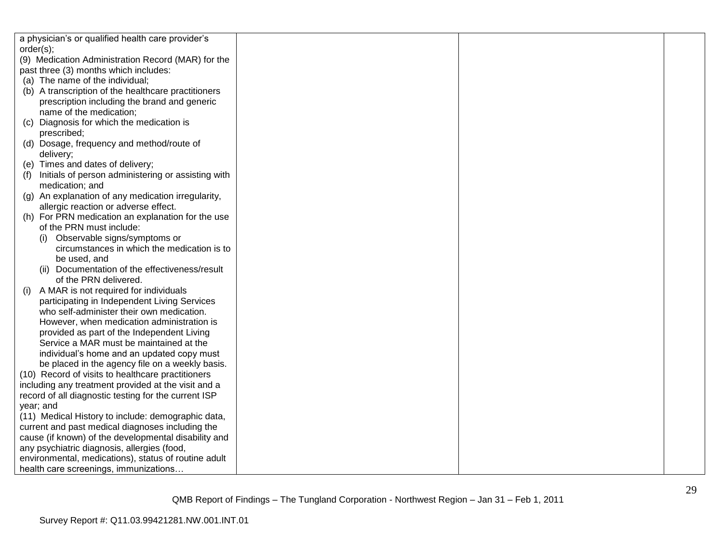| a physician's or qualified health care provider's    |  |  |
|------------------------------------------------------|--|--|
| order(s);                                            |  |  |
| (9) Medication Administration Record (MAR) for the   |  |  |
| past three (3) months which includes:                |  |  |
| (a) The name of the individual;                      |  |  |
| (b) A transcription of the healthcare practitioners  |  |  |
| prescription including the brand and generic         |  |  |
| name of the medication;                              |  |  |
| Diagnosis for which the medication is<br>(C)         |  |  |
| prescribed;                                          |  |  |
| (d) Dosage, frequency and method/route of            |  |  |
| delivery;                                            |  |  |
| (e) Times and dates of delivery;                     |  |  |
| Initials of person administering or assisting with   |  |  |
| medication; and                                      |  |  |
| (g) An explanation of any medication irregularity,   |  |  |
| allergic reaction or adverse effect.                 |  |  |
| (h) For PRN medication an explanation for the use    |  |  |
| of the PRN must include:                             |  |  |
| (i) Observable signs/symptoms or                     |  |  |
| circumstances in which the medication is to          |  |  |
| be used, and                                         |  |  |
| (ii) Documentation of the effectiveness/result       |  |  |
| of the PRN delivered.                                |  |  |
| A MAR is not required for individuals<br>(1)         |  |  |
| participating in Independent Living Services         |  |  |
| who self-administer their own medication.            |  |  |
| However, when medication administration is           |  |  |
| provided as part of the Independent Living           |  |  |
| Service a MAR must be maintained at the              |  |  |
| individual's home and an updated copy must           |  |  |
| be placed in the agency file on a weekly basis.      |  |  |
| (10) Record of visits to healthcare practitioners    |  |  |
| including any treatment provided at the visit and a  |  |  |
| record of all diagnostic testing for the current ISP |  |  |
| year; and                                            |  |  |
| (11) Medical History to include: demographic data,   |  |  |
| current and past medical diagnoses including the     |  |  |
| cause (if known) of the developmental disability and |  |  |
| any psychiatric diagnosis, allergies (food,          |  |  |
| environmental, medications), status of routine adult |  |  |
| health care screenings, immunizations                |  |  |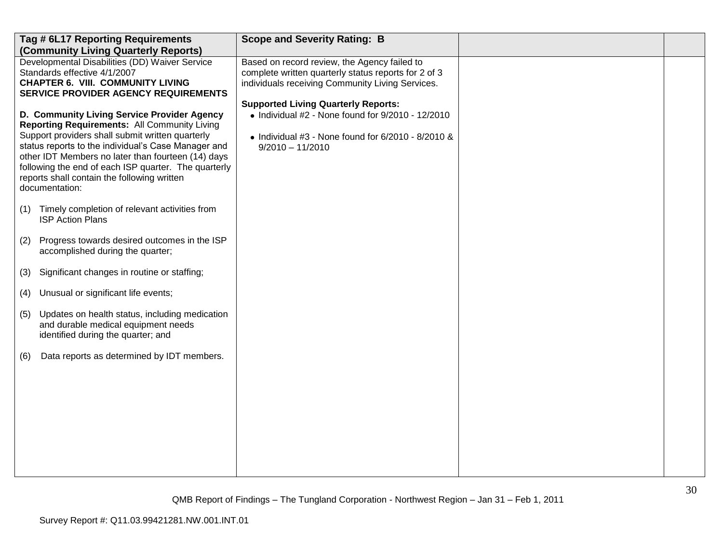|     | Tag # 6L17 Reporting Requirements<br>(Community Living Quarterly Reports)                                                                                                                                                                                                                                                                                                             | <b>Scope and Severity Rating: B</b>                                                                                                                                                         |  |
|-----|---------------------------------------------------------------------------------------------------------------------------------------------------------------------------------------------------------------------------------------------------------------------------------------------------------------------------------------------------------------------------------------|---------------------------------------------------------------------------------------------------------------------------------------------------------------------------------------------|--|
|     | Developmental Disabilities (DD) Waiver Service<br>Standards effective 4/1/2007<br><b>CHAPTER 6. VIII. COMMUNITY LIVING</b><br><b>SERVICE PROVIDER AGENCY REQUIREMENTS</b>                                                                                                                                                                                                             | Based on record review, the Agency failed to<br>complete written quarterly status reports for 2 of 3<br>individuals receiving Community Living Services.                                    |  |
|     | D. Community Living Service Provider Agency<br>Reporting Requirements: All Community Living<br>Support providers shall submit written quarterly<br>status reports to the individual's Case Manager and<br>other IDT Members no later than fourteen (14) days<br>following the end of each ISP quarter. The quarterly<br>reports shall contain the following written<br>documentation: | <b>Supported Living Quarterly Reports:</b><br>$\bullet$ Individual #2 - None found for 9/2010 - 12/2010<br>$\bullet$ Individual #3 - None found for 6/2010 - 8/2010 &<br>$9/2010 - 11/2010$ |  |
| (1) | Timely completion of relevant activities from<br><b>ISP Action Plans</b>                                                                                                                                                                                                                                                                                                              |                                                                                                                                                                                             |  |
| (2) | Progress towards desired outcomes in the ISP<br>accomplished during the quarter;                                                                                                                                                                                                                                                                                                      |                                                                                                                                                                                             |  |
| (3) | Significant changes in routine or staffing;                                                                                                                                                                                                                                                                                                                                           |                                                                                                                                                                                             |  |
| (4) | Unusual or significant life events;                                                                                                                                                                                                                                                                                                                                                   |                                                                                                                                                                                             |  |
| (5) | Updates on health status, including medication<br>and durable medical equipment needs<br>identified during the quarter; and                                                                                                                                                                                                                                                           |                                                                                                                                                                                             |  |
| (6) | Data reports as determined by IDT members.                                                                                                                                                                                                                                                                                                                                            |                                                                                                                                                                                             |  |
|     |                                                                                                                                                                                                                                                                                                                                                                                       |                                                                                                                                                                                             |  |
|     |                                                                                                                                                                                                                                                                                                                                                                                       |                                                                                                                                                                                             |  |
|     |                                                                                                                                                                                                                                                                                                                                                                                       |                                                                                                                                                                                             |  |
|     |                                                                                                                                                                                                                                                                                                                                                                                       |                                                                                                                                                                                             |  |
|     |                                                                                                                                                                                                                                                                                                                                                                                       |                                                                                                                                                                                             |  |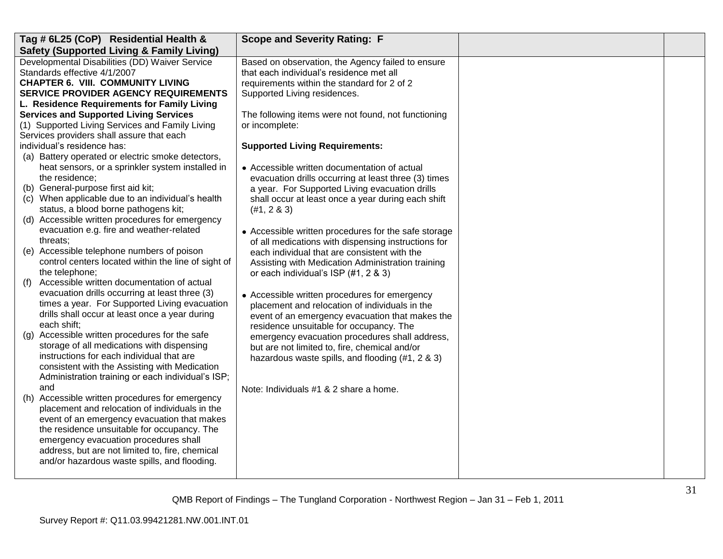| Tag # 6L25 (CoP) Residential Health &                                                           | <b>Scope and Severity Rating: F</b>                  |  |
|-------------------------------------------------------------------------------------------------|------------------------------------------------------|--|
| <b>Safety (Supported Living &amp; Family Living)</b>                                            |                                                      |  |
| Developmental Disabilities (DD) Waiver Service                                                  | Based on observation, the Agency failed to ensure    |  |
| Standards effective 4/1/2007                                                                    | that each individual's residence met all             |  |
| <b>CHAPTER 6. VIII. COMMUNITY LIVING</b>                                                        | requirements within the standard for 2 of 2          |  |
| <b>SERVICE PROVIDER AGENCY REQUIREMENTS</b>                                                     | Supported Living residences.                         |  |
| L. Residence Requirements for Family Living                                                     |                                                      |  |
| <b>Services and Supported Living Services</b>                                                   | The following items were not found, not functioning  |  |
| (1) Supported Living Services and Family Living                                                 | or incomplete:                                       |  |
| Services providers shall assure that each                                                       |                                                      |  |
| individual's residence has:                                                                     | <b>Supported Living Requirements:</b>                |  |
| (a) Battery operated or electric smoke detectors,                                               |                                                      |  |
| heat sensors, or a sprinkler system installed in                                                | • Accessible written documentation of actual         |  |
| the residence;                                                                                  | evacuation drills occurring at least three (3) times |  |
| (b) General-purpose first aid kit;                                                              | a year. For Supported Living evacuation drills       |  |
| (c) When applicable due to an individual's health                                               | shall occur at least once a year during each shift   |  |
| status, a blood borne pathogens kit;                                                            | $(#1, 2 \& 3)$                                       |  |
| (d) Accessible written procedures for emergency                                                 |                                                      |  |
| evacuation e.g. fire and weather-related                                                        | • Accessible written procedures for the safe storage |  |
| threats:                                                                                        | of all medications with dispensing instructions for  |  |
| (e) Accessible telephone numbers of poison                                                      | each individual that are consistent with the         |  |
| control centers located within the line of sight of                                             | Assisting with Medication Administration training    |  |
| the telephone;                                                                                  | or each individual's ISP (#1, 2 & 3)                 |  |
| Accessible written documentation of actual<br>(f)                                               |                                                      |  |
| evacuation drills occurring at least three (3)                                                  | • Accessible written procedures for emergency        |  |
| times a year. For Supported Living evacuation                                                   | placement and relocation of individuals in the       |  |
| drills shall occur at least once a year during                                                  | event of an emergency evacuation that makes the      |  |
| each shift:                                                                                     | residence unsuitable for occupancy. The              |  |
| Accessible written procedures for the safe<br>(g)<br>storage of all medications with dispensing | emergency evacuation procedures shall address,       |  |
| instructions for each individual that are                                                       | but are not limited to, fire, chemical and/or        |  |
| consistent with the Assisting with Medication                                                   | hazardous waste spills, and flooding (#1, 2 & 3)     |  |
| Administration training or each individual's ISP;                                               |                                                      |  |
| and                                                                                             |                                                      |  |
| (h) Accessible written procedures for emergency                                                 | Note: Individuals #1 & 2 share a home.               |  |
| placement and relocation of individuals in the                                                  |                                                      |  |
| event of an emergency evacuation that makes                                                     |                                                      |  |
| the residence unsuitable for occupancy. The                                                     |                                                      |  |
| emergency evacuation procedures shall                                                           |                                                      |  |
| address, but are not limited to, fire, chemical                                                 |                                                      |  |
| and/or hazardous waste spills, and flooding.                                                    |                                                      |  |
|                                                                                                 |                                                      |  |
|                                                                                                 |                                                      |  |